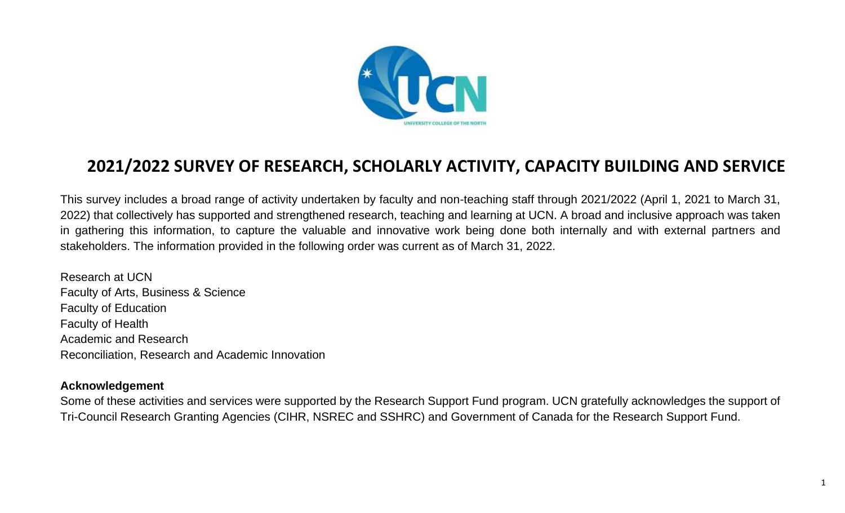

### **2021/2022 SURVEY OF RESEARCH, SCHOLARLY ACTIVITY, CAPACITY BUILDING AND SERVICE**

This survey includes a broad range of activity undertaken by faculty and non-teaching staff through 2021/2022 (April 1, 2021 to March 31, 2022) that collectively has supported and strengthened research, teaching and learning at UCN. A broad and inclusive approach was taken in gathering this information, to capture the valuable and innovative work being done both internally and with external partners and stakeholders. The information provided in the following order was current as of March 31, 2022.

Research at UCN Faculty of Arts, Business & Science Faculty of Education Faculty of Health Academic and Research Reconciliation, Research and Academic Innovation

#### **Acknowledgement**

Some of these activities and services were supported by the Research Support Fund program. UCN gratefully acknowledges the support of Tri-Council Research Granting Agencies (CIHR, NSREC and SSHRC) and Government of Canada for the Research Support Fund.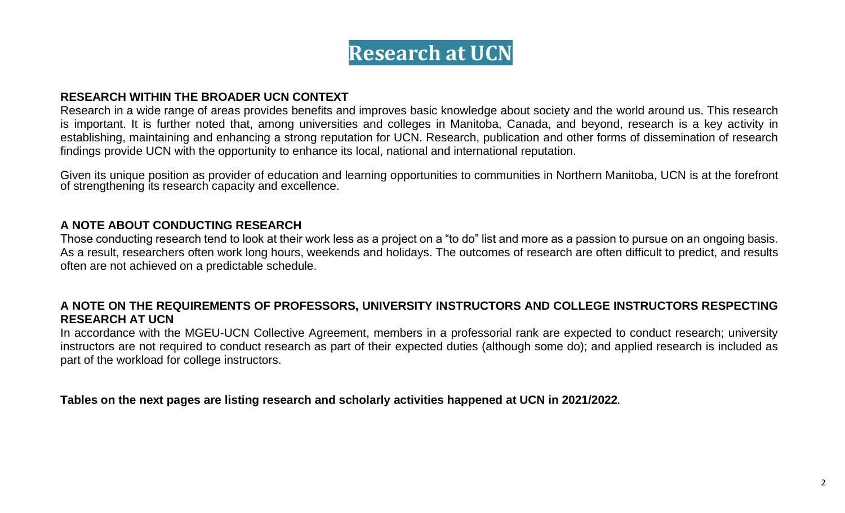### **Research at UCN**

#### **RESEARCH WITHIN THE BROADER UCN CONTEXT**

Research in a wide range of areas provides benefits and improves basic knowledge about society and the world around us. This research is important. It is further noted that, among universities and colleges in Manitoba, Canada, and beyond, research is a key activity in establishing, maintaining and enhancing a strong reputation for UCN. Research, publication and other forms of dissemination of research findings provide UCN with the opportunity to enhance its local, national and international reputation.

Given its unique position as provider of education and learning opportunities to communities in Northern Manitoba, UCN is at the forefront of strengthening its research capacity and excellence.

#### **A NOTE ABOUT CONDUCTING RESEARCH**

Those conducting research tend to look at their work less as a project on a "to do" list and more as a passion to pursue on an ongoing basis. As a result, researchers often work long hours, weekends and holidays. The outcomes of research are often difficult to predict, and results often are not achieved on a predictable schedule.

#### **A NOTE ON THE REQUIREMENTS OF PROFESSORS, UNIVERSITY INSTRUCTORS AND COLLEGE INSTRUCTORS RESPECTING RESEARCH AT UCN**

In accordance with the MGEU-UCN Collective Agreement, members in a professorial rank are expected to conduct research; university instructors are not required to conduct research as part of their expected duties (although some do); and applied research is included as part of the workload for college instructors.

**Tables on the next pages are listing research and scholarly activities happened at UCN in 2021/2022.**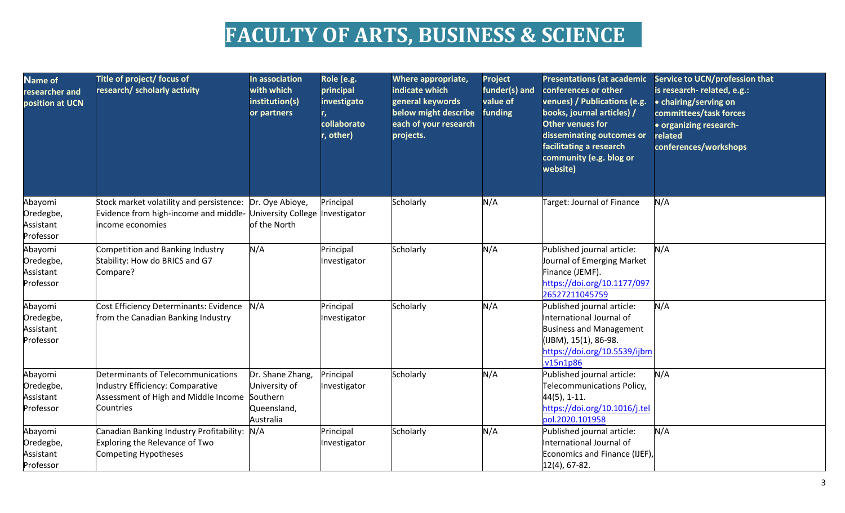### **FACULTY OF ARTS, BUSINESS & SCIENCE**

| <b>Name of</b><br>researcher and<br>position at UCN | Title of project/ focus of<br>research/ scholarly activity                                                                                            | In association<br>with which<br>institution(s)<br>or partners             | Role (e.g.<br>principal<br>investigato<br>collaborato<br>r, other) | Where appropriate,<br>indicate which<br>general keywords<br>below might describe<br>each of your research<br>projects. | Project<br>funder(s) and<br>value of<br>funding | <b>Presentations (at academic</b><br>conferences or other<br>venues) / Publications (e.g.<br>books, journal articles) /<br>Other venues for<br>disseminating outcomes or<br>facilitating a research<br>community (e.g. blog or<br>website) | Service to UCN/profession that<br>is research- related, e.g.:<br>• chairing/serving on<br>committees/task forces<br>· organizing research-<br>related<br>conferences/workshops |
|-----------------------------------------------------|-------------------------------------------------------------------------------------------------------------------------------------------------------|---------------------------------------------------------------------------|--------------------------------------------------------------------|------------------------------------------------------------------------------------------------------------------------|-------------------------------------------------|--------------------------------------------------------------------------------------------------------------------------------------------------------------------------------------------------------------------------------------------|--------------------------------------------------------------------------------------------------------------------------------------------------------------------------------|
| Abayomi<br>Oredegbe,<br>Assistant<br>Professor      | Stock market volatility and persistence: Dr. Oye Abioye,<br>Evidence from high-income and middle- University College Investigator<br>income economies | of the North                                                              | Principal                                                          | Scholarly                                                                                                              | N/A                                             | Target: Journal of Finance                                                                                                                                                                                                                 | N/A                                                                                                                                                                            |
| Abayomi<br>Oredegbe,<br>Assistant<br>Professor      | Competition and Banking Industry<br>Stability: How do BRICS and G7<br>Compare?                                                                        | N/A                                                                       | Principal<br>Investigator                                          | Scholarly                                                                                                              | N/A                                             | Published journal article:<br>Journal of Emerging Market<br>Finance (JEMF).<br>https://doi.org/10.1177/097<br>26527211045759                                                                                                               | N/A                                                                                                                                                                            |
| Abayomi<br>Oredegbe,<br>Assistant<br>Professor      | Cost Efficiency Determinants: Evidence N/A<br>from the Canadian Banking Industry                                                                      |                                                                           | Principal<br>Investigator                                          | Scholarly                                                                                                              | N/A                                             | Published journal article:<br>International Journal of<br><b>Business and Management</b><br>(IJBM), 15(1), 86-98.<br>http <u>s://doi.org/10.5539/ijbm</u><br>v15n1p86                                                                      | N/A                                                                                                                                                                            |
| Abayomi<br>Oredegbe,<br>Assistant<br>Professor      | Determinants of Telecommunications<br>Industry Efficiency: Comparative<br>Assessment of High and Middle Income<br>Countries                           | Dr. Shane Zhang,<br>University of<br>Southern<br>Queensland,<br>Australia | Principal<br>Investigator                                          | Scholarly                                                                                                              | N/A                                             | Published journal article:<br>Telecommunications Policy,<br>44(5), 1-11.<br>https://doi.org/10.1016/j.tel<br>pol.2020.101958                                                                                                               | N/A                                                                                                                                                                            |
| Abayomi<br>Oredegbe,<br>Assistant<br>Professor      | Canadian Banking Industry Profitability: N/A<br>Exploring the Relevance of Two<br><b>Competing Hypotheses</b>                                         |                                                                           | Principal<br>Investigator                                          | Scholarly                                                                                                              | N/A                                             | Published journal article:<br>International Journal of<br>Economics and Finance (IJEF),<br>$12(4)$ , 67-82.                                                                                                                                | N/A                                                                                                                                                                            |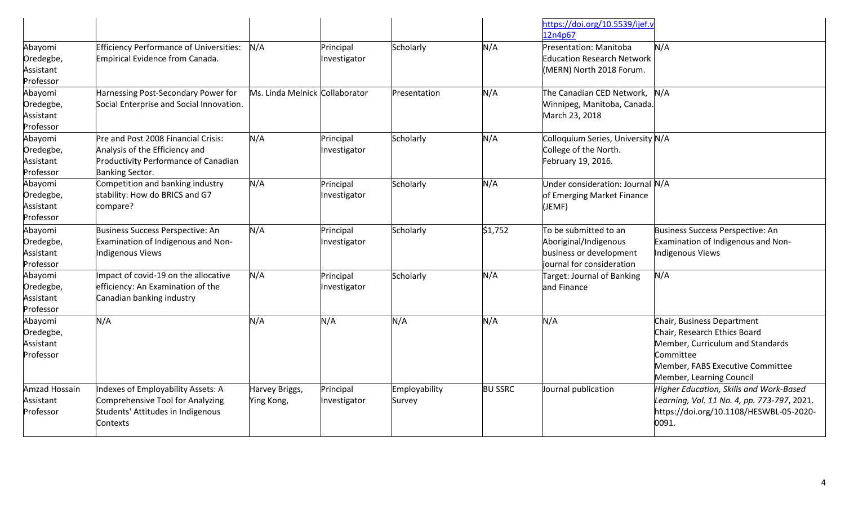|                                                |                                                                                                                                  |                                |                           |                         |                | https://doi.org/10.5539/ijef.v                                                                         |                                                                                                                                                                             |
|------------------------------------------------|----------------------------------------------------------------------------------------------------------------------------------|--------------------------------|---------------------------|-------------------------|----------------|--------------------------------------------------------------------------------------------------------|-----------------------------------------------------------------------------------------------------------------------------------------------------------------------------|
| Abayomi<br>Oredegbe,<br>Assistant<br>Professor | <b>Efficiency Performance of Universities:</b><br>Empirical Evidence from Canada.                                                | N/A                            | Principal<br>Investigator | Scholarly               | N/A            | 12n4p67<br>Presentation: Manitoba<br><b>Education Research Network</b><br>(MERN) North 2018 Forum.     | N/A                                                                                                                                                                         |
| Abayomi<br>Oredegbe,<br>Assistant<br>Professor | Harnessing Post-Secondary Power for<br>Social Enterprise and Social Innovation.                                                  | Ms. Linda Melnick Collaborator |                           | Presentation            | N/A            | The Canadian CED Network, N/A<br>Winnipeg, Manitoba, Canada.<br>March 23, 2018                         |                                                                                                                                                                             |
| Abayomi<br>Oredegbe,<br>Assistant<br>Professor | Pre and Post 2008 Financial Crisis:<br>Analysis of the Efficiency and<br>Productivity Performance of Canadian<br>Banking Sector. | N/A                            | Principal<br>Investigator | Scholarly               | N/A            | Colloquium Series, University N/A<br>College of the North.<br>February 19, 2016.                       |                                                                                                                                                                             |
| Abayomi<br>Oredegbe,<br>Assistant<br>Professor | Competition and banking industry<br>stability: How do BRICS and G7<br>compare?                                                   | N/A                            | Principal<br>Investigator | Scholarly               | N/A            | Under consideration: Journal N/A<br>of Emerging Market Finance<br>(JEMF)                               |                                                                                                                                                                             |
| Abayomi<br>Oredegbe,<br>Assistant<br>Professor | Business Success Perspective: An<br>Examination of Indigenous and Non-<br>Indigenous Views                                       | N/A                            | Principal<br>Investigator | Scholarly               | \$1,752        | To be submitted to an<br>Aboriginal/Indigenous<br>business or development<br>journal for consideration | Business Success Perspective: An<br>Examination of Indigenous and Non-<br>Indigenous Views                                                                                  |
| Abayomi<br>Oredegbe,<br>Assistant<br>Professor | Impact of covid-19 on the allocative<br>efficiency: An Examination of the<br>Canadian banking industry                           | N/A                            | Principal<br>Investigator | Scholarly               | N/A            | Target: Journal of Banking<br>and Finance                                                              | N/A                                                                                                                                                                         |
| Abayomi<br>Oredegbe,<br>Assistant<br>Professor | N/A                                                                                                                              | N/A                            | N/A                       | N/A                     | N/A            | N/A                                                                                                    | Chair, Business Department<br>Chair, Research Ethics Board<br>Member, Curriculum and Standards<br>Committee<br>Member, FABS Executive Committee<br>Member, Learning Council |
| Amzad Hossain<br>Assistant<br>Professor        | Indexes of Employability Assets: A<br>Comprehensive Tool for Analyzing<br>Students' Attitudes in Indigenous<br>Contexts          | Harvey Briggs,<br>Ying Kong,   | Principal<br>Investigator | Employability<br>Survey | <b>BU SSRC</b> | Journal publication                                                                                    | Higher Education, Skills and Work-Based<br>Learning, Vol. 11 No. 4, pp. 773-797, 2021.<br>https://doi.org/10.1108/HESWBL-05-2020-<br>0091.                                  |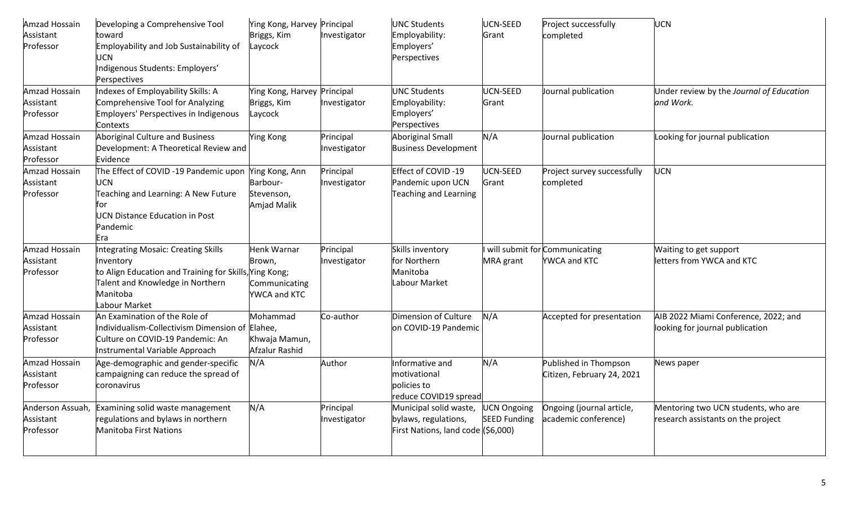| Amzad Hossain<br>Assistant<br>Professor    | Developing a Comprehensive Tool<br>toward<br>Employability and Job Sustainability of<br><b>UCN</b><br>Indigenous Students: Employers'<br>Perspectives                              | Ying Kong, Harvey Principal<br>Briggs, Kim<br>Laycock   | Investigator              | <b>UNC Students</b><br>Employability:<br>Employers'<br>Perspectives                  | UCN-SEED<br>Grant                         | Project successfully<br>completed                   | <b>UCN</b>                                                                |
|--------------------------------------------|------------------------------------------------------------------------------------------------------------------------------------------------------------------------------------|---------------------------------------------------------|---------------------------|--------------------------------------------------------------------------------------|-------------------------------------------|-----------------------------------------------------|---------------------------------------------------------------------------|
| Amzad Hossain<br>Assistant<br>Professor    | Indexes of Employability Skills: A<br>Comprehensive Tool for Analyzing<br>Employers' Perspectives in Indigenous<br>Contexts                                                        | Ying Kong, Harvey Principal<br>Briggs, Kim<br>Laycock   | Investigator              | <b>UNC Students</b><br>Employability:<br>Employers'<br>Perspectives                  | UCN-SEED<br>Grant                         | Journal publication                                 | Under review by the Journal of Education<br>and Work.                     |
| Amzad Hossain<br>Assistant<br>Professor    | Aboriginal Culture and Business<br>Development: A Theoretical Review and<br>Evidence                                                                                               | Ying Kong                                               | Principal<br>Investigator | <b>Aboriginal Small</b><br><b>Business Development</b>                               | N/A                                       | Journal publication                                 | Looking for journal publication                                           |
| Amzad Hossain<br>Assistant<br>Professor    | The Effect of COVID -19 Pandemic upon<br><b>UCN</b><br>Teaching and Learning: A New Future<br>for<br><b>UCN Distance Education in Post</b><br>Pandemic<br>Era                      | Ying Kong, Ann<br>Barbour-<br>Stevenson,<br>Amjad Malik | Principal<br>Investigator | Effect of COVID-19<br>Pandemic upon UCN<br>Teaching and Learning                     | UCN-SEED<br>Grant                         | Project survey successfully<br>completed            | <b>UCN</b>                                                                |
| Amzad Hossain<br>Assistant<br>Professor    | <b>Integrating Mosaic: Creating Skills</b><br>Inventory<br>to Align Education and Training for Skills, Ying Kong;<br>Talent and Knowledge in Northern<br>Manitoba<br>Labour Market | Henk Warnar<br>Brown,<br>Communicating<br>YWCA and KTC  | Principal<br>Investigator | Skills inventory<br>for Northern<br>Manitoba<br>Labour Market                        | MRA grant                                 | will submit for Communicating<br>YWCA and KTC       | Waiting to get support<br>letters from YWCA and KTC                       |
| Amzad Hossain<br>Assistant<br>Professor    | An Examination of the Role of<br>Individualism-Collectivism Dimension of Elahee,<br>Culture on COVID-19 Pandemic: An<br><b>Instrumental Variable Approach</b>                      | Mohammad<br>Khwaja Mamun,<br>Afzalur Rashid             | Co-author                 | Dimension of Culture<br>on COVID-19 Pandemic                                         | N/A                                       | Accepted for presentation                           | AIB 2022 Miami Conference, 2022; and<br>looking for journal publication   |
| Amzad Hossain<br>Assistant<br>Professor    | Age-demographic and gender-specific<br>campaigning can reduce the spread of<br>coronavirus                                                                                         | N/A                                                     | Author                    | Informative and<br>motivational<br>policies to<br>reduce COVID19 spread              | N/A                                       | Published in Thompson<br>Citizen, February 24, 2021 | News paper                                                                |
| Anderson Assuah,<br>Assistant<br>Professor | Examining solid waste management<br>regulations and bylaws in northern<br>Manitoba First Nations                                                                                   | N/A                                                     | Principal<br>Investigator | Municipal solid waste,<br>bylaws, regulations,<br>First Nations, land code (\$6,000) | <b>UCN Ongoing</b><br><b>SEED Funding</b> | Ongoing (journal article,<br>academic conference)   | Mentoring two UCN students, who are<br>research assistants on the project |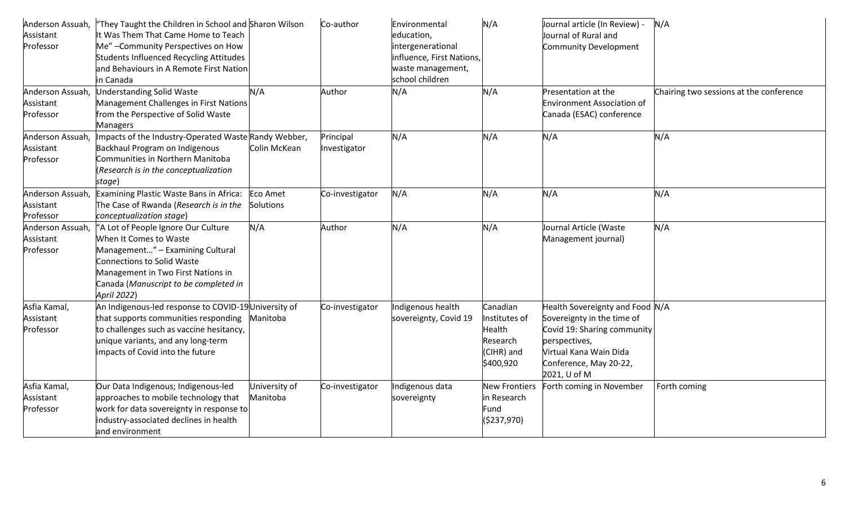| Anderson Assuah,<br>Assistant<br>Professor | "They Taught the Children in School and Sharon Wilson<br>It Was Them That Came Home to Teach<br>Me" - Community Perspectives on How<br>Students Influenced Recycling Attitudes<br>and Behaviours in A Remote First Nation<br>in Canada |                           | Co-author                 | Environmental<br>education,<br>intergenerational<br>influence, First Nations,<br>waste management,<br>school children | N/A                                                                        | Journal article (In Review) -<br>Journal of Rural and<br>Community Development                                                                                                    | N/A                                     |
|--------------------------------------------|----------------------------------------------------------------------------------------------------------------------------------------------------------------------------------------------------------------------------------------|---------------------------|---------------------------|-----------------------------------------------------------------------------------------------------------------------|----------------------------------------------------------------------------|-----------------------------------------------------------------------------------------------------------------------------------------------------------------------------------|-----------------------------------------|
| Anderson Assuah,<br>Assistant<br>Professor | <b>Understanding Solid Waste</b><br>Management Challenges in First Nations<br>from the Perspective of Solid Waste<br><b>Managers</b>                                                                                                   | N/A                       | Author                    | N/A                                                                                                                   | N/A                                                                        | Presentation at the<br><b>Environment Association of</b><br>Canada (ESAC) conference                                                                                              | Chairing two sessions at the conference |
| Anderson Assuah,<br>Assistant<br>Professor | Impacts of the Industry-Operated Waste Randy Webber,<br>Backhaul Program on Indigenous<br>Communities in Northern Manitoba<br>(Research is in the conceptualization<br>stage)                                                          | Colin McKean              | Principal<br>Investigator | N/A                                                                                                                   | N/A                                                                        | N/A                                                                                                                                                                               | N/A                                     |
| Anderson Assuah,<br>Assistant<br>Professor | Examining Plastic Waste Bans in Africa:<br>The Case of Rwanda (Research is in the<br>conceptualization stage)                                                                                                                          | Eco Amet<br>Solutions     | Co-investigator           | N/A                                                                                                                   | N/A                                                                        | N/A                                                                                                                                                                               | N/A                                     |
| Anderson Assuah,<br>Assistant<br>Professor | "A Lot of People Ignore Our Culture<br>When It Comes to Waste<br>Management" - Examining Cultural<br><b>Connections to Solid Waste</b><br>Management in Two First Nations in<br>Canada (Manuscript to be completed in<br>April 2022)   | N/A                       | Author                    | N/A                                                                                                                   | N/A                                                                        | Journal Article (Waste<br>Management journal)                                                                                                                                     | N/A                                     |
| Asfia Kamal,<br>Assistant<br>Professor     | An Indigenous-led response to COVID-19 University of<br>that supports communities responding<br>to challenges such as vaccine hesitancy,<br>unique variants, and any long-term<br>impacts of Covid into the future                     | Manitoba                  | Co-investigator           | Indigenous health<br>sovereignty, Covid 19                                                                            | Canadian<br>Institutes of<br>Health<br>Research<br>(CIHR) and<br>\$400,920 | Health Sovereignty and Food N/A<br>Sovereignty in the time of<br>Covid 19: Sharing community<br>perspectives,<br>Virtual Kana Wain Dida<br>Conference, May 20-22,<br>2021, U of M |                                         |
| Asfia Kamal,<br>Assistant<br>Professor     | Our Data Indigenous; Indigenous-led<br>approaches to mobile technology that<br>work for data sovereignty in response to<br>industry-associated declines in health<br>and environment                                                   | University of<br>Manitoba | Co-investigator           | Indigenous data<br>sovereignty                                                                                        | <b>New Frontiers</b><br>in Research<br>Fund<br>(5237,970)                  | Forth coming in November                                                                                                                                                          | Forth coming                            |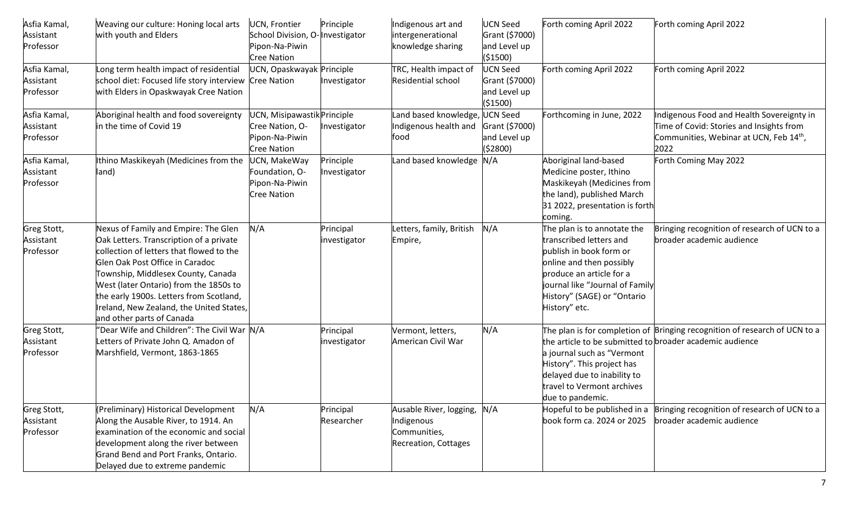| Asfia Kamal,<br>Assistant<br>Professor | Weaving our culture: Honing local arts<br>with youth and Elders                                                                                                                                                                                                                                                                                                    | <b>UCN, Frontier</b><br>School Division, O-Investigator<br>Pipon-Na-Piwin<br><b>Cree Nation</b> | Principle                 | Indigenous art and<br>intergenerational<br>knowledge sharing                      | <b>UCN Seed</b><br>Grant (\$7000)<br>and Level up<br>( \$1500) | Forth coming April 2022                                                                                                                                                                                                      | Forth coming April 2022                                                                                                                              |
|----------------------------------------|--------------------------------------------------------------------------------------------------------------------------------------------------------------------------------------------------------------------------------------------------------------------------------------------------------------------------------------------------------------------|-------------------------------------------------------------------------------------------------|---------------------------|-----------------------------------------------------------------------------------|----------------------------------------------------------------|------------------------------------------------------------------------------------------------------------------------------------------------------------------------------------------------------------------------------|------------------------------------------------------------------------------------------------------------------------------------------------------|
| Asfia Kamal,<br>Assistant<br>Professor | Long term health impact of residential<br>school diet: Focused life story interview Cree Nation<br>with Elders in Opaskwayak Cree Nation                                                                                                                                                                                                                           | UCN, Opaskwayak Principle                                                                       | Investigator              | TRC, Health impact of<br><b>Residential school</b>                                | <b>UCN Seed</b><br>Grant (\$7000)<br>and Level up<br>( \$1500) | Forth coming April 2022                                                                                                                                                                                                      | Forth coming April 2022                                                                                                                              |
| Asfia Kamal,<br>Assistant<br>Professor | Aboriginal health and food sovereignty<br>in the time of Covid 19                                                                                                                                                                                                                                                                                                  | UCN, Misipawastik Principle<br>Cree Nation, O-<br>Pipon-Na-Piwin<br><b>Cree Nation</b>          | Investigator              | and based knowledge, UCN Seed<br>Indigenous health and<br>food                    | Grant (\$7000)<br>and Level up<br>(52800)                      | Forthcoming in June, 2022                                                                                                                                                                                                    | Indigenous Food and Health Sovereignty in<br>Time of Covid: Stories and Insights from<br>Communities, Webinar at UCN, Feb 14 <sup>th</sup> ,<br>2022 |
| Asfia Kamal,<br>Assistant<br>Professor | Ithino Maskikeyah (Medicines from the<br>land)                                                                                                                                                                                                                                                                                                                     | UCN, MakeWay<br>Foundation, O-<br>Pipon-Na-Piwin<br><b>Cree Nation</b>                          | Principle<br>Investigator | and based knowledge N/A                                                           |                                                                | Aboriginal land-based<br>Medicine poster, Ithino<br>Maskikeyah (Medicines from<br>the land), published March<br>31 2022, presentation is forth<br>coming.                                                                    | Forth Coming May 2022                                                                                                                                |
| Greg Stott,<br>Assistant<br>Professor  | Nexus of Family and Empire: The Glen<br>Oak Letters. Transcription of a private<br>collection of letters that flowed to the<br>Glen Oak Post Office in Caradoc<br>Township, Middlesex County, Canada<br>West (later Ontario) from the 1850s to<br>the early 1900s. Letters from Scotland,<br>Ireland, New Zealand, the United States,<br>and other parts of Canada | N/A                                                                                             | Principal<br>investigator | etters, family, British<br>Empire,                                                | N/A                                                            | The plan is to annotate the<br>transcribed letters and<br>publish in book form or<br>online and then possibly<br>produce an article for a<br>iournal like "Journal of Family<br>History" (SAGE) or "Ontario<br>History" etc. | Bringing recognition of research of UCN to a<br>broader academic audience                                                                            |
| Greg Stott,<br>Assistant<br>Professor  | "Dear Wife and Children": The Civil War N/A<br>Letters of Private John Q. Amadon of<br>Marshfield, Vermont, 1863-1865                                                                                                                                                                                                                                              |                                                                                                 | Principal<br>investigator | Vermont, letters,<br>American Civil War                                           | N/A                                                            | the article to be submitted to broader academic audience<br>a journal such as "Vermont<br>History". This project has<br>delayed due to inability to<br>travel to Vermont archives<br>due to pandemic.                        | The plan is for completion of Bringing recognition of research of UCN to a                                                                           |
| Greg Stott,<br>Assistant<br>Professor  | (Preliminary) Historical Development<br>Along the Ausable River, to 1914. An<br>examination of the economic and social<br>development along the river between<br>Grand Bend and Port Franks, Ontario.<br>Delayed due to extreme pandemic                                                                                                                           | N/A                                                                                             | Principal<br>Researcher   | Ausable River, logging, N/A<br>Indigenous<br>Communities,<br>Recreation, Cottages |                                                                | Hopeful to be published in a<br>book form ca. 2024 or 2025                                                                                                                                                                   | Bringing recognition of research of UCN to a<br>broader academic audience                                                                            |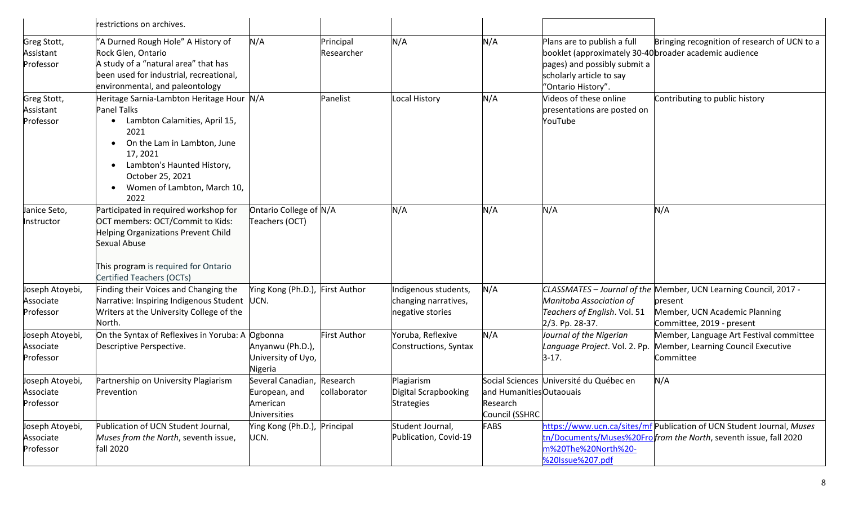|                                           | restrictions on archives.                                                                                                                                                                                                                    |                                                                                             |                         |                                                                 |                                                        |                                                                                                                                                                         |                                                                                                                                           |
|-------------------------------------------|----------------------------------------------------------------------------------------------------------------------------------------------------------------------------------------------------------------------------------------------|---------------------------------------------------------------------------------------------|-------------------------|-----------------------------------------------------------------|--------------------------------------------------------|-------------------------------------------------------------------------------------------------------------------------------------------------------------------------|-------------------------------------------------------------------------------------------------------------------------------------------|
| Greg Stott,<br>Assistant<br>Professor     | "A Durned Rough Hole" A History of<br>Rock Glen, Ontario<br>A study of a "natural area" that has<br>been used for industrial, recreational,<br>environmental, and paleontology                                                               | N/A                                                                                         | Principal<br>Researcher | N/A                                                             | N/A                                                    | Plans are to publish a full<br>booklet (approximately 30-40 broader academic audience<br>pages) and possibly submit a<br>scholarly article to say<br>"Ontario History". | Bringing recognition of research of UCN to a                                                                                              |
| Greg Stott,<br>Assistant<br>Professor     | Heritage Sarnia-Lambton Heritage Hour N/A<br><b>Panel Talks</b><br>Lambton Calamities, April 15,<br>2021<br>On the Lam in Lambton, June<br>17, 2021<br>Lambton's Haunted History,<br>October 25, 2021<br>Women of Lambton, March 10,<br>2022 |                                                                                             | Panelist                | <b>Local History</b>                                            | N/A                                                    | Videos of these online<br>presentations are posted on<br>YouTube                                                                                                        | Contributing to public history                                                                                                            |
| Janice Seto,<br>Instructor                | Participated in required workshop for<br>OCT members: OCT/Commit to Kids:<br>Helping Organizations Prevent Child<br>Sexual Abuse<br>This program is required for Ontario<br><b>Certified Teachers (OCTs)</b>                                 | Ontario College of N/A<br>Teachers (OCT)                                                    |                         | N/A                                                             | N/A                                                    | N/A                                                                                                                                                                     | N/A                                                                                                                                       |
| Joseph Atoyebi,<br>Associate<br>Professor | Finding their Voices and Changing the<br>Narrative: Inspiring Indigenous Student<br>Writers at the University College of the<br>North.                                                                                                       | Ying Kong (Ph.D.),<br>UCN.                                                                  | <b>First Author</b>     | ndigenous students,<br>changing narratives,<br>negative stories | N/A                                                    | Manitoba Association of<br>Teachers of English. Vol. 51<br>2/3. Pp. 28-37.                                                                                              | CLASSMATES - Journal of the Member, UCN Learning Council, 2017 -<br>present<br>Member, UCN Academic Planning<br>Committee, 2019 - present |
| Joseph Atoyebi,<br>Associate<br>Professor | On the Syntax of Reflexives in Yoruba: A Ogbonna<br>Descriptive Perspective.                                                                                                                                                                 | Anyanwu (Ph.D.),<br>University of Uyo,<br>Nigeria                                           | First Author            | Yoruba, Reflexive<br>Constructions, Syntax                      | N/A                                                    | Journal of the Nigerian<br>Language Project. Vol. 2. Pp.<br>$3-17.$                                                                                                     | Member, Language Art Festival committee<br>Member, Learning Council Executive<br>Committee                                                |
| Joseph Atoyebi,<br>Associate<br>Professor | Partnership on University Plagiarism<br>Prevention                                                                                                                                                                                           | Several Canadian, Research<br>European, and collaborator<br>American<br><b>Universities</b> |                         | Plagiarism<br>Digital Scrapbooking<br><b>Strategies</b>         | and Humanities Outaouais<br>Research<br>Council (SSHRC | Social Sciences Université du Québec en                                                                                                                                 | N/A                                                                                                                                       |
| Joseph Atoyebi,<br>Associate<br>Professor | Publication of UCN Student Journal,<br>Muses from the North, seventh issue,<br>fall 2020                                                                                                                                                     | Ying Kong (Ph.D.), Principal<br>UCN.                                                        |                         | Student Journal,<br>Publication, Covid-19                       | <b>FABS</b>                                            | m%20The%20North%20-<br>%20Issue%207.pdf                                                                                                                                 | https://www.ucn.ca/sites/mf Publication of UCN Student Journal, Muses<br>tn/Documents/Muses%20Frofrom the North, seventh issue, fall 2020 |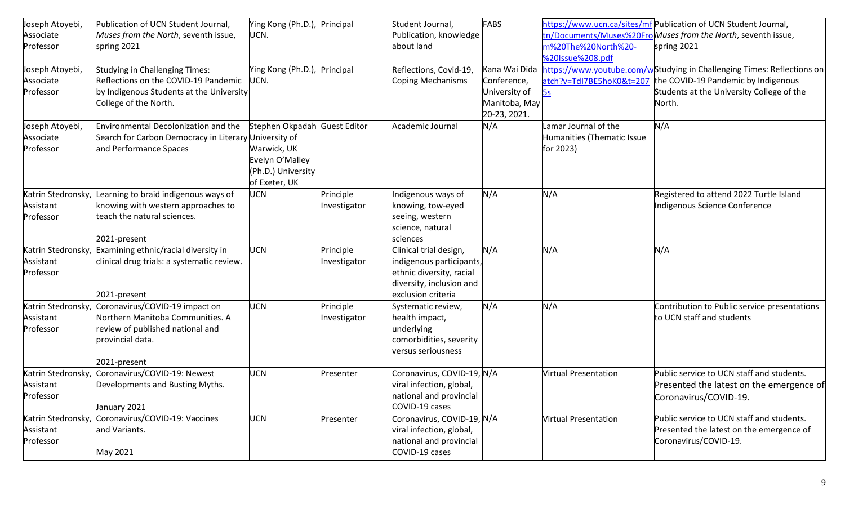| Joseph Atoyebi,<br>Associate<br>Professor    | Publication of UCN Student Journal,<br>Muses from the North, seventh issue,<br>spring 2021                                                  | Ying Kong (Ph.D.), Principal<br>UCN.                                                                  |                           | Student Journal,<br>Publication, knowledge<br>about land                                                                         | FABS                                                                           | m%20The%20North%20-<br>%20Issue%208.pdf                         | https://www.ucn.ca/sites/mf Publication of UCN Student Journal,<br>tn/Documents/Muses%20FroMuses from the North, seventh issue,<br>spring 2021                       |
|----------------------------------------------|---------------------------------------------------------------------------------------------------------------------------------------------|-------------------------------------------------------------------------------------------------------|---------------------------|----------------------------------------------------------------------------------------------------------------------------------|--------------------------------------------------------------------------------|-----------------------------------------------------------------|----------------------------------------------------------------------------------------------------------------------------------------------------------------------|
| Joseph Atoyebi,<br>Associate<br>Professor    | Studying in Challenging Times:<br>Reflections on the COVID-19 Pandemic<br>by Indigenous Students at the University<br>College of the North. | Ying Kong (Ph.D.), Principal<br>UCN.                                                                  |                           | Reflections, Covid-19,<br>Coping Mechanisms                                                                                      | Kana Wai Dida<br>Conference,<br>University of<br>Manitoba, May<br>20-23, 2021. | atch?v=TdI7BE5hoK0&t=207<br>5s.                                 | https://www.youtube.com/wStudying in Challenging Times: Reflections on<br>the COVID-19 Pandemic by Indigenous<br>Students at the University College of the<br>North. |
| Joseph Atoyebi,<br>Associate<br>Professor    | Environmental Decolonization and the<br>Search for Carbon Democracy in Literary University of<br>and Performance Spaces                     | Stephen Okpadah Guest Editor<br>Warwick, UK<br>Evelyn O'Malley<br>(Ph.D.) University<br>of Exeter, UK |                           | Academic Journal                                                                                                                 | N/A                                                                            | Lamar Journal of the<br>Humanities (Thematic Issue<br>for 2023) | N/A                                                                                                                                                                  |
| Katrin Stedronsky,<br>Assistant<br>Professor | Learning to braid indigenous ways of<br>knowing with western approaches to<br>teach the natural sciences.<br>2021-present                   | UCN                                                                                                   | Principle<br>Investigator | Indigenous ways of<br>knowing, tow-eyed<br>seeing, western<br>science, natural<br>sciences                                       | N/A                                                                            | N/A                                                             | Registered to attend 2022 Turtle Island<br>Indigenous Science Conference                                                                                             |
| Katrin Stedronsky,<br>Assistant<br>Professor | Examining ethnic/racial diversity in<br>clinical drug trials: a systematic review.<br>2021-present                                          | <b>UCN</b>                                                                                            | Principle<br>Investigator | Clinical trial design,<br>indigenous participants,<br>ethnic diversity, racial<br>diversity, inclusion and<br>exclusion criteria | N/A                                                                            | N/A                                                             | N/A                                                                                                                                                                  |
| Katrin Stedronsky,<br>Assistant<br>Professor | Coronavirus/COVID-19 impact on<br>Northern Manitoba Communities. A<br>review of published national and<br>provincial data.<br>2021-present  | <b>UCN</b>                                                                                            | Principle<br>Investigator | Systematic review,<br>health impact,<br>underlying<br>comorbidities, severity<br>versus seriousness                              | N/A                                                                            | N/A                                                             | Contribution to Public service presentations<br>to UCN staff and students                                                                                            |
| Katrin Stedronsky,<br>Assistant<br>Professor | Coronavirus/COVID-19: Newest<br>Developments and Busting Myths.<br>January 2021                                                             | UCN                                                                                                   | Presenter                 | Coronavirus, COVID-19, N/A<br>viral infection, global,<br>national and provincial<br>COVID-19 cases                              |                                                                                | <b>Virtual Presentation</b>                                     | Public service to UCN staff and students.<br>Presented the latest on the emergence of<br>Coronavirus/COVID-19.                                                       |
| Katrin Stedronsky,<br>Assistant<br>Professor | Coronavirus/COVID-19: Vaccines<br>and Variants.<br>May 2021                                                                                 | <b>UCN</b>                                                                                            | Presenter                 | Coronavirus, COVID-19, N/A<br>viral infection, global,<br>national and provincial<br>COVID-19 cases                              |                                                                                | <b>Virtual Presentation</b>                                     | Public service to UCN staff and students.<br>Presented the latest on the emergence of<br>Coronavirus/COVID-19.                                                       |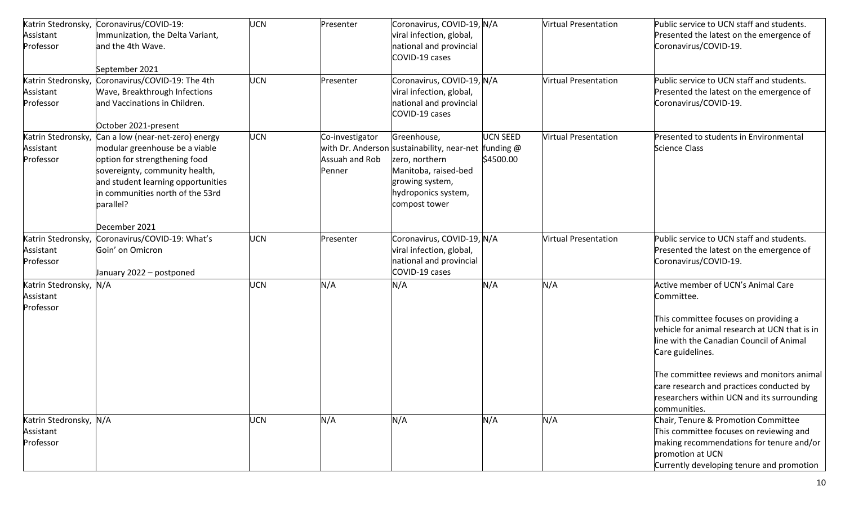|                        | Katrin Stedronsky, Coronavirus/COVID-19:            | <b>UCN</b> | Presenter       | Coronavirus, COVID-19, N/A                           |                 | <b>Virtual Presentation</b> | Public service to UCN staff and students.     |
|------------------------|-----------------------------------------------------|------------|-----------------|------------------------------------------------------|-----------------|-----------------------------|-----------------------------------------------|
| Assistant              | Immunization, the Delta Variant,                    |            |                 | viral infection, global,                             |                 |                             | Presented the latest on the emergence of      |
| Professor              | and the 4th Wave.                                   |            |                 | national and provincial                              |                 |                             | Coronavirus/COVID-19.                         |
|                        |                                                     |            |                 | COVID-19 cases                                       |                 |                             |                                               |
|                        | September 2021                                      |            |                 |                                                      |                 |                             |                                               |
| Katrin Stedronsky,     | Coronavirus/COVID-19: The 4th                       | <b>UCN</b> | Presenter       | Coronavirus, COVID-19, N/A                           |                 | <b>Virtual Presentation</b> | Public service to UCN staff and students.     |
| Assistant              | Wave, Breakthrough Infections                       |            |                 | viral infection, global,                             |                 |                             | Presented the latest on the emergence of      |
| Professor              | and Vaccinations in Children.                       |            |                 | national and provincial<br>COVID-19 cases            |                 |                             | Coronavirus/COVID-19.                         |
|                        | October 2021-present                                |            |                 |                                                      |                 |                             |                                               |
|                        | Katrin Stedronsky, Can a low (near-net-zero) energy | <b>UCN</b> | Co-investigator | Greenhouse,                                          | <b>UCN SEED</b> | <b>Virtual Presentation</b> | Presented to students in Environmental        |
| Assistant              | modular greenhouse be a viable                      |            |                 | with Dr. Anderson sustainability, near-net funding @ |                 |                             | <b>Science Class</b>                          |
| Professor              | option for strengthening food                       |            | Assuah and Rob  | zero, northern                                       | \$4500.00       |                             |                                               |
|                        | sovereignty, community health,                      |            | Penner          | Manitoba, raised-bed                                 |                 |                             |                                               |
|                        | and student learning opportunities                  |            |                 | growing system,                                      |                 |                             |                                               |
|                        | in communities north of the 53rd                    |            |                 | hydroponics system,                                  |                 |                             |                                               |
|                        | parallel?                                           |            |                 | compost tower                                        |                 |                             |                                               |
|                        | December 2021                                       |            |                 |                                                      |                 |                             |                                               |
|                        | Katrin Stedronsky, Coronavirus/COVID-19: What's     | <b>UCN</b> | Presenter       | Coronavirus, COVID-19, N/A                           |                 | <b>Virtual Presentation</b> | Public service to UCN staff and students.     |
| Assistant              | Goin' on Omicron                                    |            |                 | viral infection, global,                             |                 |                             | Presented the latest on the emergence of      |
| Professor              |                                                     |            |                 | national and provincial                              |                 |                             | Coronavirus/COVID-19.                         |
|                        | January 2022 - postponed                            |            |                 | COVID-19 cases                                       |                 |                             |                                               |
| Katrin Stedronsky, N/A |                                                     | <b>UCN</b> | N/A             | N/A                                                  | N/A             | N/A                         | Active member of UCN's Animal Care            |
| Assistant              |                                                     |            |                 |                                                      |                 |                             | Committee.                                    |
| Professor              |                                                     |            |                 |                                                      |                 |                             |                                               |
|                        |                                                     |            |                 |                                                      |                 |                             | This committee focuses on providing a         |
|                        |                                                     |            |                 |                                                      |                 |                             | vehicle for animal research at UCN that is in |
|                        |                                                     |            |                 |                                                      |                 |                             | line with the Canadian Council of Animal      |
|                        |                                                     |            |                 |                                                      |                 |                             | Care guidelines.                              |
|                        |                                                     |            |                 |                                                      |                 |                             | The committee reviews and monitors animal     |
|                        |                                                     |            |                 |                                                      |                 |                             | care research and practices conducted by      |
|                        |                                                     |            |                 |                                                      |                 |                             | researchers within UCN and its surrounding    |
|                        |                                                     |            |                 |                                                      |                 |                             | communities.                                  |
| Katrin Stedronsky, N/A |                                                     | <b>UCN</b> | N/A             | N/A                                                  | N/A             | N/A                         | Chair, Tenure & Promotion Committee           |
| Assistant              |                                                     |            |                 |                                                      |                 |                             | This committee focuses on reviewing and       |
| Professor              |                                                     |            |                 |                                                      |                 |                             | making recommendations for tenure and/or      |
|                        |                                                     |            |                 |                                                      |                 |                             | promotion at UCN                              |
|                        |                                                     |            |                 |                                                      |                 |                             | Currently developing tenure and promotion     |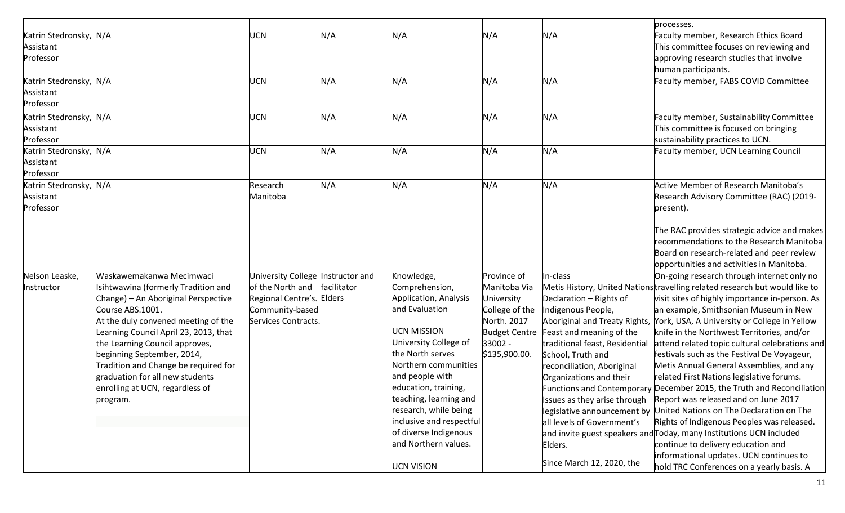|                        |                                       |                                    |             |                              |                      |                                | processes.                                                                 |
|------------------------|---------------------------------------|------------------------------------|-------------|------------------------------|----------------------|--------------------------------|----------------------------------------------------------------------------|
| Katrin Stedronsky, N/A |                                       | <b>UCN</b>                         | N/A         | N/A                          | N/A                  | N/A                            | Faculty member, Research Ethics Board                                      |
| Assistant              |                                       |                                    |             |                              |                      |                                | This committee focuses on reviewing and                                    |
| Professor              |                                       |                                    |             |                              |                      |                                | approving research studies that involve                                    |
|                        |                                       |                                    |             |                              |                      |                                | human participants.                                                        |
| Katrin Stedronsky, N/A |                                       | <b>UCN</b>                         | N/A         | N/A                          | N/A                  | N/A                            | Faculty member, FABS COVID Committee                                       |
| Assistant              |                                       |                                    |             |                              |                      |                                |                                                                            |
| Professor              |                                       |                                    |             |                              |                      |                                |                                                                            |
| Katrin Stedronsky, N/A |                                       | <b>UCN</b>                         | N/A         | N/A                          | N/A                  | N/A                            | Faculty member, Sustainability Committee                                   |
| Assistant              |                                       |                                    |             |                              |                      |                                | This committee is focused on bringing                                      |
| Professor              |                                       |                                    |             |                              |                      |                                | sustainability practices to UCN.                                           |
| Katrin Stedronsky, N/A |                                       | <b>UCN</b>                         | N/A         | N/A                          | N/A                  | N/A                            | Faculty member, UCN Learning Council                                       |
| Assistant              |                                       |                                    |             |                              |                      |                                |                                                                            |
| Professor              |                                       |                                    |             |                              |                      |                                |                                                                            |
| Katrin Stedronsky, N/A |                                       | Research                           | N/A         | N/A                          | N/A                  | N/A                            | Active Member of Research Manitoba's                                       |
| Assistant              |                                       | Manitoba                           |             |                              |                      |                                | Research Advisory Committee (RAC) (2019-                                   |
| Professor              |                                       |                                    |             |                              |                      |                                | present).                                                                  |
|                        |                                       |                                    |             |                              |                      |                                |                                                                            |
|                        |                                       |                                    |             |                              |                      |                                | The RAC provides strategic advice and makes                                |
|                        |                                       |                                    |             |                              |                      |                                | recommendations to the Research Manitoba                                   |
|                        |                                       |                                    |             |                              |                      |                                | Board on research-related and peer review                                  |
|                        |                                       |                                    |             |                              |                      |                                | opportunities and activities in Manitoba.                                  |
| Nelson Leaske,         | Waskawemakanwa Mecimwaci              | University College  Instructor and |             | Knowledge,                   | Province of          | In-class                       | On-going research through internet only no                                 |
| Instructor             | Isihtwawina (formerly Tradition and   | of the North and                   | facilitator | Comprehension,               | Manitoba Via         |                                | Metis History, United Nationstravelling related research but would like to |
|                        | Change) - An Aboriginal Perspective   | Regional Centre's. Elders          |             | <b>Application, Analysis</b> | University           | Declaration - Rights of        | visit sites of highly importance in-person. As                             |
|                        | Course ABS.1001.                      | Community-based                    |             | and Evaluation               | College of the       | Indigenous People,             | an example, Smithsonian Museum in New                                      |
|                        | At the duly convened meeting of the   | Services Contracts.                |             |                              | North. 2017          |                                | Aboriginal and Treaty Rights, York, USA, A University or College in Yellow |
|                        | Learning Council April 23, 2013, that |                                    |             | <b>UCN MISSION</b>           | <b>Budget Centre</b> | Feast and meaning of the       | knife in the Northwest Territories, and/or                                 |
|                        | the Learning Council approves,        |                                    |             | University College of        | 33002 -              | traditional feast, Residential | attend related topic cultural celebrations and                             |
|                        | beginning September, 2014,            |                                    |             | the North serves             | \$135,900.00.        | School, Truth and              | festivals such as the Festival De Voyageur,                                |
|                        | Tradition and Change be required for  |                                    |             | Northern communities         |                      | reconciliation, Aboriginal     | Metis Annual General Assemblies, and any                                   |
|                        | graduation for all new students       |                                    |             | and people with              |                      | Organizations and their        | related First Nations legislative forums.                                  |
|                        | enrolling at UCN, regardless of       |                                    |             | education, training,         |                      |                                | Functions and Contemporary December 2015, the Truth and Reconciliation     |
|                        | program.                              |                                    |             | teaching, learning and       |                      | Issues as they arise through   | Report was released and on June 2017                                       |
|                        |                                       |                                    |             | research, while being        |                      | legislative announcement by    | United Nations on The Declaration on The                                   |
|                        |                                       |                                    |             | inclusive and respectful     |                      | all levels of Government's     | Rights of Indigenous Peoples was released.                                 |
|                        |                                       |                                    |             | of diverse Indigenous        |                      |                                | and invite guest speakers and Today, many Institutions UCN included        |
|                        |                                       |                                    |             | and Northern values.         |                      | Elders.                        | continue to delivery education and                                         |
|                        |                                       |                                    |             |                              |                      |                                | informational updates. UCN continues to                                    |
|                        |                                       |                                    |             | <b>UCN VISION</b>            |                      | Since March 12, 2020, the      | hold TRC Conferences on a yearly basis. A                                  |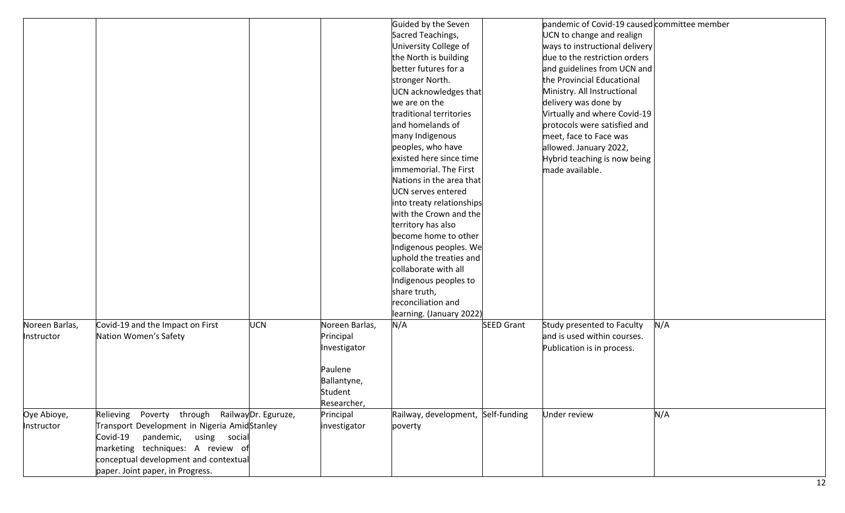|                |                                              |                     |                | Guided by the Seven                |                   | pandemic of Covid-19 caused committee member |     |
|----------------|----------------------------------------------|---------------------|----------------|------------------------------------|-------------------|----------------------------------------------|-----|
|                |                                              |                     |                | Sacred Teachings,                  |                   | JCN to change and realign                    |     |
|                |                                              |                     |                | University College of              |                   | ways to instructional delivery               |     |
|                |                                              |                     |                | the North is building              |                   | due to the restriction orders                |     |
|                |                                              |                     |                | better futures for a               |                   | and guidelines from UCN and                  |     |
|                |                                              |                     |                | stronger North.                    |                   | the Provincial Educational                   |     |
|                |                                              |                     |                | UCN acknowledges that              |                   | Ministry. All Instructional                  |     |
|                |                                              |                     |                | we are on the                      |                   | delivery was done by                         |     |
|                |                                              |                     |                | traditional territories            |                   | Virtually and where Covid-19                 |     |
|                |                                              |                     |                | and homelands of                   |                   | protocols were satisfied and                 |     |
|                |                                              |                     |                | many Indigenous                    |                   | meet, face to Face was                       |     |
|                |                                              |                     |                | peoples, who have                  |                   | allowed. January 2022,                       |     |
|                |                                              |                     |                | existed here since time            |                   | Hybrid teaching is now being                 |     |
|                |                                              |                     |                | immemorial. The First              |                   | made available.                              |     |
|                |                                              |                     |                | Nations in the area that           |                   |                                              |     |
|                |                                              |                     |                | <b>UCN</b> serves entered          |                   |                                              |     |
|                |                                              |                     |                | into treaty relationships          |                   |                                              |     |
|                |                                              |                     |                | with the Crown and the             |                   |                                              |     |
|                |                                              |                     |                | territory has also                 |                   |                                              |     |
|                |                                              |                     |                | become home to other               |                   |                                              |     |
|                |                                              |                     |                | Indigenous peoples. We             |                   |                                              |     |
|                |                                              |                     |                | uphold the treaties and            |                   |                                              |     |
|                |                                              |                     |                | collaborate with all               |                   |                                              |     |
|                |                                              |                     |                | Indigenous peoples to              |                   |                                              |     |
|                |                                              |                     |                | share truth,                       |                   |                                              |     |
|                |                                              |                     |                | reconciliation and                 |                   |                                              |     |
|                |                                              |                     |                | learning. (January 2022)           |                   |                                              |     |
| Noreen Barlas, | Covid-19 and the Impact on First             | <b>UCN</b>          | Noreen Barlas, | N/A                                | <b>SEED Grant</b> | Study presented to Faculty                   | N/A |
| Instructor     | Nation Women's Safety                        |                     | Principal      |                                    |                   | and is used within courses.                  |     |
|                |                                              |                     | Investigator   |                                    |                   | Publication is in process.                   |     |
|                |                                              |                     |                |                                    |                   |                                              |     |
|                |                                              |                     | Paulene        |                                    |                   |                                              |     |
|                |                                              |                     | Ballantyne,    |                                    |                   |                                              |     |
|                |                                              |                     | Student        |                                    |                   |                                              |     |
|                |                                              |                     | Researcher,    |                                    |                   |                                              |     |
| Oye Abioye,    | Relieving<br>Poverty through                 | RailwayDr. Eguruze, | Principal      | Railway, development, Self-funding |                   | Under review                                 | N/A |
| Instructor     | Transport Development in Nigeria AmidStanley |                     | investigator   | poverty                            |                   |                                              |     |
|                | Covid-19<br>pandemic,<br>using social        |                     |                |                                    |                   |                                              |     |
|                | marketing techniques: A review of            |                     |                |                                    |                   |                                              |     |
|                | conceptual development and contextual        |                     |                |                                    |                   |                                              |     |
|                | paper. Joint paper, in Progress.             |                     |                |                                    |                   |                                              |     |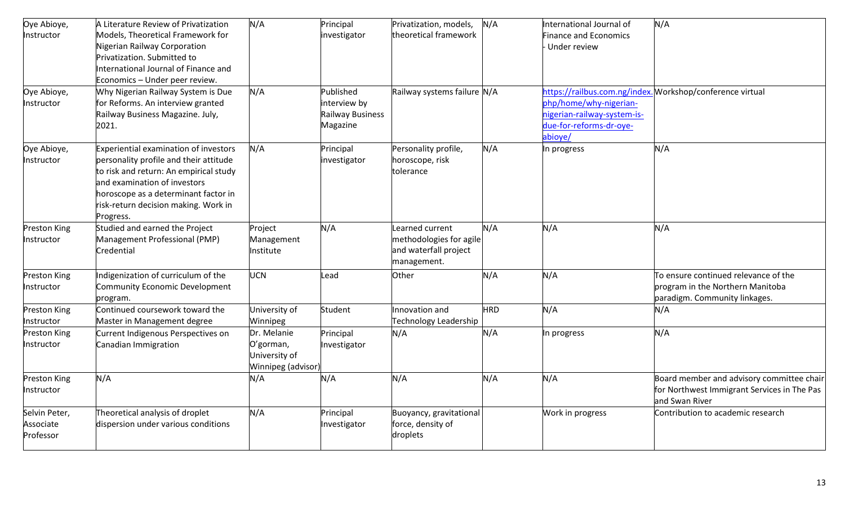| Oye Abioye,         | A Literature Review of Privatization   | N/A                | Principal        | Privatization, models,      | N/A        | International Journal of     | N/A                                                       |
|---------------------|----------------------------------------|--------------------|------------------|-----------------------------|------------|------------------------------|-----------------------------------------------------------|
| Instructor          | Models, Theoretical Framework for      |                    | investigator     | theoretical framework       |            | <b>Finance and Economics</b> |                                                           |
|                     | Nigerian Railway Corporation           |                    |                  |                             |            | Under review                 |                                                           |
|                     | Privatization. Submitted to            |                    |                  |                             |            |                              |                                                           |
|                     | International Journal of Finance and   |                    |                  |                             |            |                              |                                                           |
|                     | Economics - Under peer review.         |                    |                  |                             |            |                              |                                                           |
| Oye Abioye,         | Why Nigerian Railway System is Due     | N/A                | Published        | Railway systems failure N/A |            |                              | https://railbus.com.ng/index. Workshop/conference virtual |
| Instructor          | for Reforms. An interview granted      |                    | interview by     |                             |            | php/home/why-nigerian-       |                                                           |
|                     | Railway Business Magazine. July,       |                    | Railway Business |                             |            | nigerian-railway-system-is-  |                                                           |
|                     | 2021.                                  |                    | Magazine         |                             |            | due-for-reforms-dr-oye-      |                                                           |
|                     |                                        |                    |                  |                             |            | abioye/                      |                                                           |
| Oye Abioye,         | Experiential examination of investors  | N/A                | Principal        | Personality profile,        | N/A        | In progress                  | N/A                                                       |
| Instructor          | personality profile and their attitude |                    | investigator     | horoscope, risk             |            |                              |                                                           |
|                     | to risk and return: An empirical study |                    |                  | tolerance                   |            |                              |                                                           |
|                     | and examination of investors           |                    |                  |                             |            |                              |                                                           |
|                     | horoscope as a determinant factor in   |                    |                  |                             |            |                              |                                                           |
|                     | risk-return decision making. Work in   |                    |                  |                             |            |                              |                                                           |
|                     | Progress.                              |                    |                  |                             |            |                              |                                                           |
| Preston King        | Studied and earned the Project         | Project            | N/A              | Learned current             | N/A        | N/A                          | N/A                                                       |
| Instructor          | Management Professional (PMP)          | Management         |                  | methodologies for agile     |            |                              |                                                           |
|                     | Credential                             | Institute          |                  | and waterfall project       |            |                              |                                                           |
|                     |                                        |                    |                  | management.                 |            |                              |                                                           |
| <b>Preston King</b> | Indigenization of curriculum of the    | <b>UCN</b>         | Lead             | Other                       | N/A        | N/A                          | To ensure continued relevance of the                      |
| Instructor          | Community Economic Development         |                    |                  |                             |            |                              | program in the Northern Manitoba                          |
|                     | program.                               |                    |                  |                             |            |                              | paradigm. Community linkages.                             |
| Preston King        | Continued coursework toward the        | University of      | Student          | Innovation and              | <b>HRD</b> | N/A                          | N/A                                                       |
| Instructor          | Master in Management degree            | Winnipeg           |                  | Technology Leadership       |            |                              |                                                           |
| Preston King        | Current Indigenous Perspectives on     | Dr. Melanie        | Principal        | N/A                         | N/A        | In progress                  | N/A                                                       |
| Instructor          | Canadian Immigration                   | O'gorman,          | Investigator     |                             |            |                              |                                                           |
|                     |                                        | University of      |                  |                             |            |                              |                                                           |
|                     |                                        | Winnipeg (advisor) |                  |                             |            |                              |                                                           |
| Preston King        | N/A                                    | N/A                | N/A              | N/A                         | N/A        | N/A                          | Board member and advisory committee chair                 |
| Instructor          |                                        |                    |                  |                             |            |                              | for Northwest Immigrant Services in The Pas               |
|                     |                                        |                    |                  |                             |            |                              | and Swan River                                            |
| Selvin Peter,       | Theoretical analysis of droplet        | N/A                | Principal        | Buoyancy, gravitational     |            | Work in progress             | Contribution to academic research                         |
| Associate           | dispersion under various conditions    |                    | Investigator     | force, density of           |            |                              |                                                           |
| Professor           |                                        |                    |                  | droplets                    |            |                              |                                                           |
|                     |                                        |                    |                  |                             |            |                              |                                                           |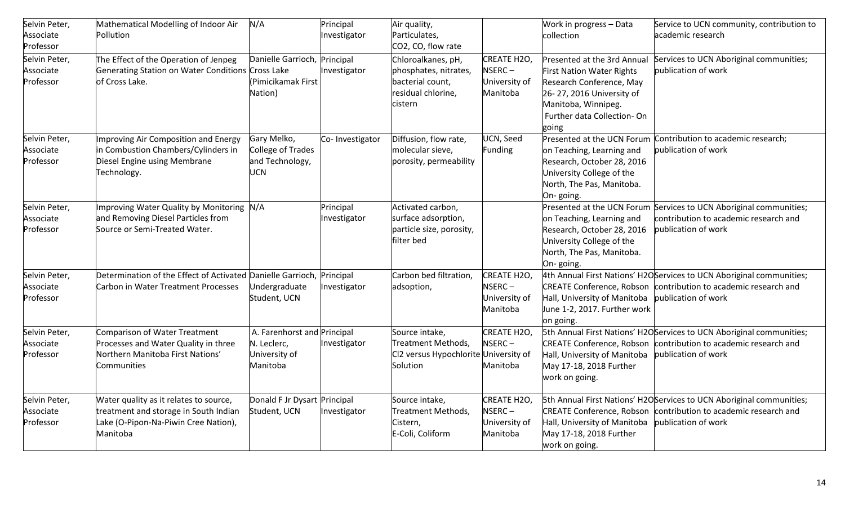| Selvin Peter,              | Mathematical Modelling of Indoor Air                                            | N/A                          | Principal                 | Air quality,                             |                    | Work in progress - Data          | Service to UCN community, contribution to                                                                   |
|----------------------------|---------------------------------------------------------------------------------|------------------------------|---------------------------|------------------------------------------|--------------------|----------------------------------|-------------------------------------------------------------------------------------------------------------|
| Associate                  | Pollution                                                                       |                              | Investigator              | Particulates,                            |                    | collection                       | academic research                                                                                           |
| Professor                  |                                                                                 |                              |                           | CO2, CO, flow rate                       |                    |                                  |                                                                                                             |
| Selvin Peter,              | The Effect of the Operation of Jenpeg                                           | Danielle Garrioch, Principal |                           | Chloroalkanes, pH,                       | <b>CREATE H2O,</b> | Presented at the 3rd Annual      | Services to UCN Aboriginal communities;                                                                     |
| Associate                  | Generating Station on Water Conditions Cross Lake                               |                              | Investigator              | phosphates, nitrates,                    | NSERC-             | <b>First Nation Water Rights</b> | publication of work                                                                                         |
| Professor                  | of Cross Lake.                                                                  | Pimicikamak First            |                           | bacterial count,                         | University of      | Research Conference, May         |                                                                                                             |
|                            |                                                                                 | Nation)                      |                           | residual chlorine,                       | Manitoba           | 26-27, 2016 University of        |                                                                                                             |
|                            |                                                                                 |                              |                           | cistern                                  |                    | Manitoba, Winnipeg.              |                                                                                                             |
|                            |                                                                                 |                              |                           |                                          |                    | Further data Collection-On       |                                                                                                             |
|                            |                                                                                 |                              |                           |                                          |                    | going                            |                                                                                                             |
| Selvin Peter,              | <b>Improving Air Composition and Energy</b>                                     | Gary Melko,                  | Co-Investigator           | Diffusion, flow rate,                    | UCN, Seed          |                                  | Presented at the UCN Forum Contribution to academic research;                                               |
| Associate                  | in Combustion Chambers/Cylinders in                                             | College of Trades            |                           | molecular sieve,                         | Funding            | on Teaching, Learning and        | publication of work                                                                                         |
| Professor                  | Diesel Engine using Membrane                                                    | and Technology,              |                           | porosity, permeability                   |                    | Research, October 28, 2016       |                                                                                                             |
|                            | Technology.                                                                     | UCN                          |                           |                                          |                    | University College of the        |                                                                                                             |
|                            |                                                                                 |                              |                           |                                          |                    | North, The Pas, Manitoba.        |                                                                                                             |
|                            |                                                                                 |                              |                           |                                          |                    | On-going.                        |                                                                                                             |
| Selvin Peter,<br>Associate | Improving Water Quality by Monitoring N/A<br>and Removing Diesel Particles from |                              | Principal<br>Investigator | Activated carbon,<br>surface adsorption, |                    | on Teaching, Learning and        | Presented at the UCN Forum Services to UCN Aboriginal communities;<br>contribution to academic research and |
| Professor                  | Source or Semi-Treated Water.                                                   |                              |                           | particle size, porosity,                 |                    | Research, October 28, 2016       | publication of work                                                                                         |
|                            |                                                                                 |                              |                           | filter bed                               |                    | University College of the        |                                                                                                             |
|                            |                                                                                 |                              |                           |                                          |                    | North, The Pas, Manitoba.        |                                                                                                             |
|                            |                                                                                 |                              |                           |                                          |                    | On-going.                        |                                                                                                             |
| Selvin Peter,              | Determination of the Effect of Activated Danielle Garrioch,                     |                              | Principal                 | Carbon bed filtration,                   | CREATE H2O,        |                                  | 4th Annual First Nations' H2OServices to UCN Aboriginal communities;                                        |
| Associate                  | <b>Carbon in Water Treatment Processes</b>                                      | Jndergraduate                | Investigator              | adsoption,                               | NSERC-             | <b>CREATE Conference, Robson</b> | contribution to academic research and                                                                       |
| Professor                  |                                                                                 | Student, UCN                 |                           |                                          | University of      | Hall, University of Manitoba     | publication of work                                                                                         |
|                            |                                                                                 |                              |                           |                                          | Manitoba           | June 1-2, 2017. Further work     |                                                                                                             |
|                            |                                                                                 |                              |                           |                                          |                    | on going.                        |                                                                                                             |
| Selvin Peter,              | <b>Comparison of Water Treatment</b>                                            | A. Farenhorst and Principal  |                           | Source intake,                           | CREATE H2O,        |                                  | 5th Annual First Nations' H2OServices to UCN Aboriginal communities;                                        |
| Associate                  | Processes and Water Quality in three                                            | N. Leclerc,                  | Investigator              | Treatment Methods,                       | NSERC-             | <b>CREATE Conference, Robson</b> | contribution to academic research and                                                                       |
| Professor                  | Northern Manitoba First Nations'                                                | University of                |                           | CI2 versus Hypochlorite University of    |                    | Hall, University of Manitoba     | publication of work                                                                                         |
|                            | Communities                                                                     | Manitoba                     |                           | Solution                                 | Manitoba           | May 17-18, 2018 Further          |                                                                                                             |
|                            |                                                                                 |                              |                           |                                          |                    | work on going.                   |                                                                                                             |
|                            |                                                                                 |                              |                           |                                          |                    |                                  |                                                                                                             |
| Selvin Peter,              | Water quality as it relates to source,                                          | Donald F Jr Dysart Principal |                           | Source intake,                           | CREATE H2O,        |                                  | 5th Annual First Nations' H2OServices to UCN Aboriginal communities;                                        |
| Associate                  | treatment and storage in South Indian                                           | Student, UCN                 | Investigator              | Treatment Methods,                       | NSERC-             |                                  | CREATE Conference, Robson contribution to academic research and                                             |
| Professor                  | Lake (O-Pipon-Na-Piwin Cree Nation),                                            |                              |                           | Cistern,                                 | University of      | Hall, University of Manitoba     | publication of work                                                                                         |
|                            | Manitoba                                                                        |                              |                           | E-Coli, Coliform                         | Manitoba           | May 17-18, 2018 Further          |                                                                                                             |
|                            |                                                                                 |                              |                           |                                          |                    | work on going.                   |                                                                                                             |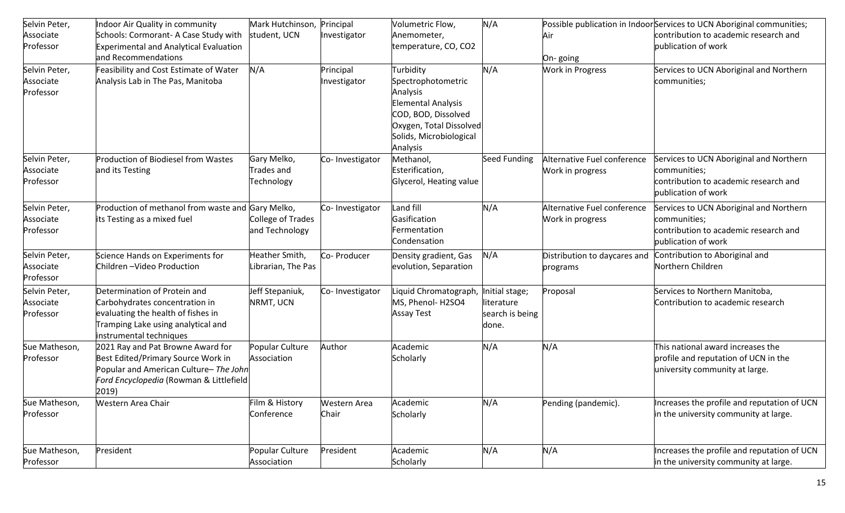| Selvin Peter, | Indoor Air Quality in community                   | Mark Hutchinson,         | Principal       | Volumetric Flow,          | N/A             |                              | Possible publication in Indoor Services to UCN Aboriginal communities; |
|---------------|---------------------------------------------------|--------------------------|-----------------|---------------------------|-----------------|------------------------------|------------------------------------------------------------------------|
| Associate     | Schools: Cormorant- A Case Study with             | student, UCN             | Investigator    | Anemometer,               |                 | Air                          | contribution to academic research and                                  |
| Professor     | <b>Experimental and Analytical Evaluation</b>     |                          |                 | temperature, CO, CO2      |                 |                              | publication of work                                                    |
|               | and Recommendations                               |                          |                 |                           |                 | On-going                     |                                                                        |
| Selvin Peter, | Feasibility and Cost Estimate of Water            | N/A                      | Principal       | Turbidity                 | N/A             | <b>Work in Progress</b>      | Services to UCN Aboriginal and Northern                                |
| Associate     | Analysis Lab in The Pas, Manitoba                 |                          | Investigator    | Spectrophotometric        |                 |                              | communities;                                                           |
| Professor     |                                                   |                          |                 | Analysis                  |                 |                              |                                                                        |
|               |                                                   |                          |                 | <b>Elemental Analysis</b> |                 |                              |                                                                        |
|               |                                                   |                          |                 | COD, BOD, Dissolved       |                 |                              |                                                                        |
|               |                                                   |                          |                 | Oxygen, Total Dissolved   |                 |                              |                                                                        |
|               |                                                   |                          |                 | Solids, Microbiological   |                 |                              |                                                                        |
|               |                                                   |                          |                 | Analysis                  |                 |                              |                                                                        |
| Selvin Peter, | Production of Biodiesel from Wastes               | Gary Melko,              | Co-Investigator | Methanol,                 | Seed Funding    | Alternative Fuel conference  | Services to UCN Aboriginal and Northern                                |
| Associate     | and its Testing                                   | Trades and               |                 | Esterification,           |                 | Work in progress             | communities;                                                           |
| Professor     |                                                   | Technology               |                 | Glycerol, Heating value   |                 |                              | contribution to academic research and                                  |
|               |                                                   |                          |                 |                           |                 |                              | publication of work                                                    |
| Selvin Peter, | Production of methanol from waste and Gary Melko, |                          | Co-Investigator | Land fill                 | N/A             | Alternative Fuel conference  | Services to UCN Aboriginal and Northern                                |
| Associate     | its Testing as a mixed fuel                       | <b>College of Trades</b> |                 | Gasification              |                 | Work in progress             | communities;                                                           |
| Professor     |                                                   | and Technology           |                 | Fermentation              |                 |                              | contribution to academic research and                                  |
|               |                                                   |                          |                 | Condensation              |                 |                              | publication of work                                                    |
| Selvin Peter, | Science Hands on Experiments for                  | Heather Smith,           | Co- Producer    | Density gradient, Gas     | N/A             | Distribution to daycares and | Contribution to Aboriginal and                                         |
| Associate     | Children-Video Production                         | Librarian, The Pas       |                 | evolution, Separation     |                 | programs                     | Northern Children                                                      |
| Professor     |                                                   |                          |                 |                           |                 |                              |                                                                        |
| Selvin Peter, | Determination of Protein and                      | Jeff Stepaniuk,          | Co-Investigator | Liquid Chromatograph,     | Initial stage;  | Proposal                     | Services to Northern Manitoba,                                         |
| Associate     | Carbohydrates concentration in                    | NRMT, UCN                |                 | MS, Phenol-H2SO4          | literature      |                              | Contribution to academic research                                      |
| Professor     | evaluating the health of fishes in                |                          |                 | <b>Assay Test</b>         | search is being |                              |                                                                        |
|               | Tramping Lake using analytical and                |                          |                 |                           | done.           |                              |                                                                        |
|               | instrumental techniques                           |                          |                 |                           |                 |                              |                                                                        |
| Sue Matheson, | 2021 Ray and Pat Browne Award for                 | Popular Culture          | Author          | Academic                  | N/A             | N/A                          | This national award increases the                                      |
| Professor     | Best Edited/Primary Source Work in                | Association              |                 | Scholarly                 |                 |                              | profile and reputation of UCN in the                                   |
|               | Popular and American Culture-The John             |                          |                 |                           |                 |                              | university community at large.                                         |
|               | Ford Encyclopedia (Rowman & Littlefield           |                          |                 |                           |                 |                              |                                                                        |
|               | $ 2019\rangle$                                    |                          |                 |                           |                 |                              |                                                                        |
| Sue Matheson, | Western Area Chair                                | Film & History           | Western Area    | Academic                  | N/A             | Pending (pandemic).          | Increases the profile and reputation of UCN                            |
| Professor     |                                                   | Conference               | Chair           | Scholarly                 |                 |                              | in the university community at large.                                  |
| Sue Matheson, | President                                         | Popular Culture          | President       | Academic                  | N/A             | N/A                          | Increases the profile and reputation of UCN                            |
| Professor     |                                                   | Association              |                 | Scholarly                 |                 |                              | in the university community at large.                                  |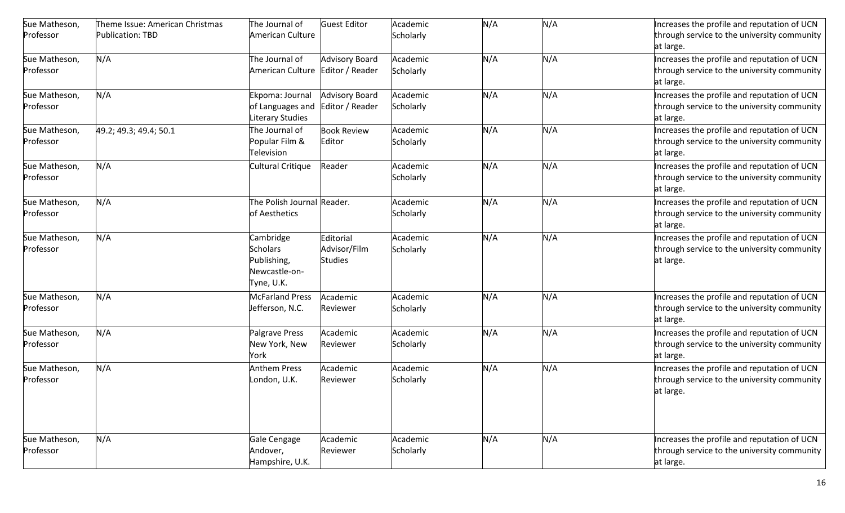| Sue Matheson,              | Theme Issue: American Christmas | The Journal of                                                             | <b>Guest Editor</b>                         | Academic              | N/A | N/A | Increases the profile and reputation of UCN                                                             |
|----------------------------|---------------------------------|----------------------------------------------------------------------------|---------------------------------------------|-----------------------|-----|-----|---------------------------------------------------------------------------------------------------------|
| Professor                  | Publication: TBD                | American Culture                                                           |                                             | Scholarly             |     |     | through service to the university community<br>at large.                                                |
| Sue Matheson,<br>Professor | N/A                             | The Journal of<br>American Culture Editor / Reader                         | <b>Advisory Board</b>                       | Academic<br>Scholarly | N/A | N/A | Increases the profile and reputation of UCN<br>through service to the university community<br>at large. |
| Sue Matheson,<br>Professor | N/A                             | Ekpoma: Journal<br>of Languages and<br>Literary Studies                    | <b>Advisory Board</b><br>Editor / Reader    | Academic<br>Scholarly | N/A | N/A | Increases the profile and reputation of UCN<br>through service to the university community<br>at large. |
| Sue Matheson,<br>Professor | 49.2; 49.3; 49.4; 50.1          | The Journal of<br>Popular Film &<br>Television                             | <b>Book Review</b><br>Editor                | Academic<br>Scholarly | N/A | N/A | Increases the profile and reputation of UCN<br>through service to the university community<br>at large. |
| Sue Matheson,<br>Professor | N/A                             | Cultural Critique                                                          | Reader                                      | Academic<br>Scholarly | N/A | N/A | Increases the profile and reputation of UCN<br>through service to the university community<br>at large. |
| Sue Matheson,<br>Professor | N/A                             | The Polish Journal Reader.<br>of Aesthetics                                |                                             | Academic<br>Scholarly | N/A | N/A | Increases the profile and reputation of UCN<br>through service to the university community<br>at large. |
| Sue Matheson,<br>Professor | N/A                             | Cambridge<br><b>Scholars</b><br>Publishing,<br>Newcastle-on-<br>Tyne, U.K. | Editorial<br>Advisor/Film<br><b>Studies</b> | Academic<br>Scholarly | N/A | N/A | Increases the profile and reputation of UCN<br>through service to the university community<br>at large. |
| Sue Matheson,<br>Professor | N/A                             | <b>McFarland Press</b><br>Jefferson, N.C.                                  | Academic<br>Reviewer                        | Academic<br>Scholarly | N/A | N/A | Increases the profile and reputation of UCN<br>through service to the university community<br>at large. |
| Sue Matheson,<br>Professor | N/A                             | Palgrave Press<br>New York, New<br>York                                    | Academic<br>Reviewer                        | Academic<br>Scholarly | N/A | N/A | Increases the profile and reputation of UCN<br>through service to the university community<br>at large. |
| Sue Matheson,<br>Professor | N/A                             | <b>Anthem Press</b><br>London, U.K.                                        | Academic<br>Reviewer                        | Academic<br>Scholarly | N/A | N/A | Increases the profile and reputation of UCN<br>through service to the university community<br>at large. |
| Sue Matheson,<br>Professor | N/A                             | Gale Cengage<br>Andover,<br>Hampshire, U.K.                                | Academic<br>Reviewer                        | Academic<br>Scholarly | N/A | N/A | Increases the profile and reputation of UCN<br>through service to the university community<br>at large. |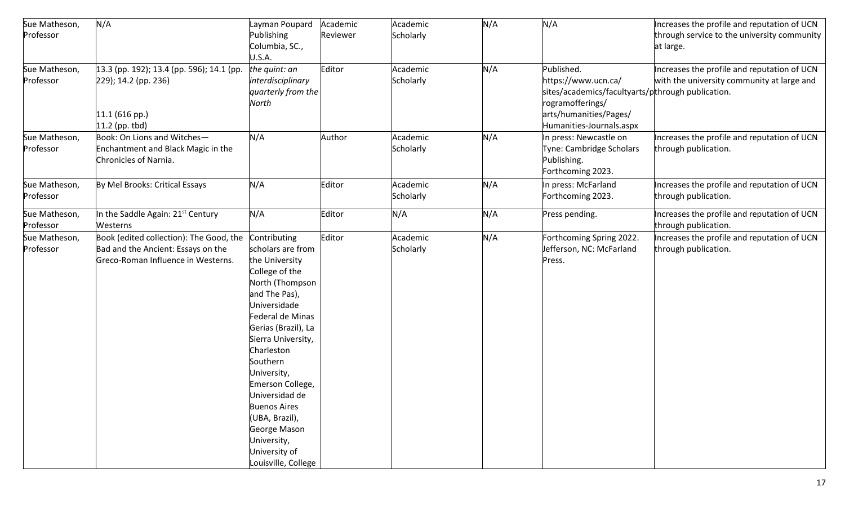| Sue Matheson,              | N/A                                                                                                                 | Layman Poupard                                                                                                                                                                                                                                                                                                                                                                            | Academic | Academic              | N/A | N/A                                                                                    | Increases the profile and reputation of UCN                                               |
|----------------------------|---------------------------------------------------------------------------------------------------------------------|-------------------------------------------------------------------------------------------------------------------------------------------------------------------------------------------------------------------------------------------------------------------------------------------------------------------------------------------------------------------------------------------|----------|-----------------------|-----|----------------------------------------------------------------------------------------|-------------------------------------------------------------------------------------------|
| Professor                  |                                                                                                                     | Publishing<br>Columbia, SC.,                                                                                                                                                                                                                                                                                                                                                              | Reviewer | Scholarly             |     |                                                                                        | through service to the university community<br>at large.                                  |
| Sue Matheson,<br>Professor | 13.3 (pp. 192); 13.4 (pp. 596); 14.1 (pp.<br>229); 14.2 (pp. 236)                                                   | <b>U.S.A.</b><br>the quint: an<br>interdisciplinary                                                                                                                                                                                                                                                                                                                                       | Editor   | Academic<br>Scholarly | N/A | Published.<br>https://www.ucn.ca/                                                      | Increases the profile and reputation of UCN<br>with the university community at large and |
|                            |                                                                                                                     | quarterly from the<br>North                                                                                                                                                                                                                                                                                                                                                               |          |                       |     | sites/academics/facultyarts/pthrough publication.<br>rogramofferings/                  |                                                                                           |
|                            | $11.1$ (616 pp.)<br>$11.2$ (pp. tbd)                                                                                |                                                                                                                                                                                                                                                                                                                                                                                           |          |                       |     | arts/humanities/Pages/<br>Humanities-Journals.aspx                                     |                                                                                           |
| Sue Matheson,<br>Professor | Book: On Lions and Witches-<br><b>Enchantment and Black Magic in the</b><br>Chronicles of Narnia.                   | N/A                                                                                                                                                                                                                                                                                                                                                                                       | Author   | Academic<br>Scholarly | N/A | In press: Newcastle on<br>Tyne: Cambridge Scholars<br>Publishing.<br>Forthcoming 2023. | ncreases the profile and reputation of UCN<br>through publication.                        |
| Sue Matheson,<br>Professor | By Mel Brooks: Critical Essays                                                                                      | N/A                                                                                                                                                                                                                                                                                                                                                                                       | Editor   | Academic<br>Scholarly | N/A | In press: McFarland<br>Forthcoming 2023.                                               | Increases the profile and reputation of UCN<br>through publication.                       |
| Sue Matheson,<br>Professor | In the Saddle Again: 21 <sup>st</sup> Century<br>Westerns                                                           | N/A                                                                                                                                                                                                                                                                                                                                                                                       | Editor   | N/A                   | N/A | Press pending.                                                                         | ncreases the profile and reputation of UCN<br>through publication.                        |
| Sue Matheson,<br>Professor | Book (edited collection): The Good, the<br>Bad and the Ancient: Essays on the<br>Greco-Roman Influence in Westerns. | Contributing<br>scholars are from<br>the University<br>College of the<br>North (Thompson<br>and The Pas),<br>Universidade<br>Federal de Minas<br>Gerias (Brazil), La<br>Sierra University,<br>Charleston<br>Southern<br>University,<br>Emerson College,<br>Universidad de<br><b>Buenos Aires</b><br>(UBA, Brazil),<br>George Mason<br>University,<br>University of<br>Louisville, College | Editor   | Academic<br>Scholarly | N/A | Forthcoming Spring 2022.<br>Jefferson, NC: McFarland<br>Press.                         | Increases the profile and reputation of UCN<br>through publication.                       |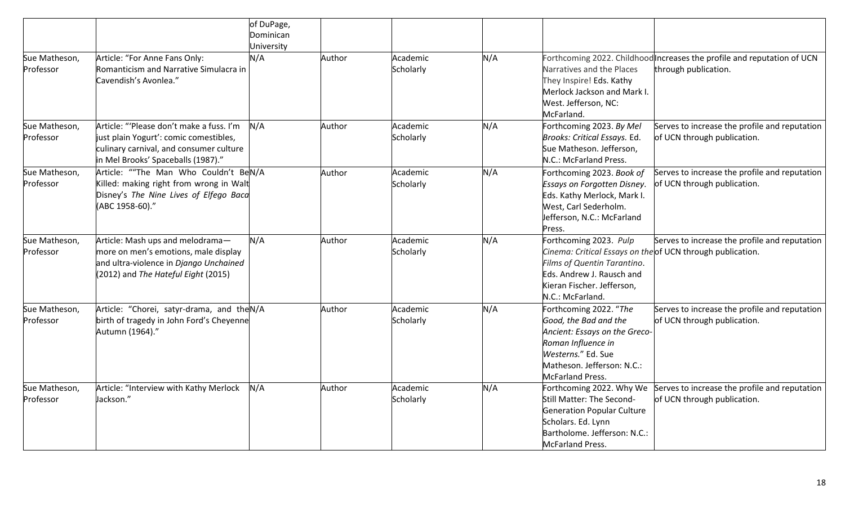|                            | of DuPage,                                                                                                                                                                 |        |                       |     |                                                                                                                                                                                                                                                                |  |
|----------------------------|----------------------------------------------------------------------------------------------------------------------------------------------------------------------------|--------|-----------------------|-----|----------------------------------------------------------------------------------------------------------------------------------------------------------------------------------------------------------------------------------------------------------------|--|
|                            | Dominican                                                                                                                                                                  |        |                       |     |                                                                                                                                                                                                                                                                |  |
|                            | University                                                                                                                                                                 |        |                       |     |                                                                                                                                                                                                                                                                |  |
| Sue Matheson,<br>Professor | Article: "For Anne Fans Only:<br>N/A<br>Romanticism and Narrative Simulacra in<br>Cavendish's Avonlea."                                                                    | Author | Academic<br>Scholarly | N/A | Forthcoming 2022. Childhood ncreases the profile and reputation of UCN<br>through publication.<br>Narratives and the Places<br>They Inspire! Eds. Kathy<br>Merlock Jackson and Mark I.<br>West. Jefferson, NC:<br>McFarland.                                   |  |
| Sue Matheson,<br>Professor | Article: "'Please don't make a fuss. I'm<br>N/A<br>just plain Yogurt': comic comestibles,<br>culinary carnival, and consumer culture<br>in Mel Brooks' Spaceballs (1987)." | Author | Academic<br>Scholarly | N/A | Forthcoming 2023. By Mel<br>Serves to increase the profile and reputation<br>Brooks: Critical Essays. Ed.<br>of UCN through publication.<br>Sue Matheson. Jefferson,<br>N.C.: McFarland Press.                                                                 |  |
| Sue Matheson,<br>Professor | Article: ""The Man Who Couldn't BeN/A<br>Killed: making right from wrong in Walt<br>Disney's The Nine Lives of Elfego Baca<br>(ABC 1958-60)."                              | Author | Academic<br>Scholarly | N/A | Serves to increase the profile and reputation<br>Forthcoming 2023. Book of<br>of UCN through publication.<br><b>Essays on Forgotten Disney.</b><br>Eds. Kathy Merlock, Mark I.<br>West, Carl Sederholm.<br>Jefferson, N.C.: McFarland<br>Press.                |  |
| Sue Matheson,<br>Professor | N/A<br>Article: Mash ups and melodrama-<br>more on men's emotions, male display<br>and ultra-violence in Django Unchained<br>(2012) and The Hateful Eight (2015)           | Author | Academic<br>Scholarly | N/A | Forthcoming 2023. Pulp<br>Serves to increase the profile and reputation<br>Cinema: Critical Essays on the of UCN through publication.<br>Films of Quentin Tarantino.<br>Eds. Andrew J. Rausch and<br>Kieran Fischer. Jefferson,<br>N.C.: McFarland.            |  |
| Sue Matheson,<br>Professor | Article: "Chorei, satyr-drama, and theN/A<br>birth of tragedy in John Ford's Cheyenne<br>Autumn (1964)."                                                                   | Author | Academic<br>Scholarly | N/A | Forthcoming 2022. "The<br>Serves to increase the profile and reputation<br>Good, the Bad and the<br>of UCN through publication.<br>Ancient: Essays on the Greco-<br>Roman Influence in<br>Westerns." Ed. Sue<br>Matheson. Jefferson: N.C.:<br>McFarland Press. |  |
| Sue Matheson,<br>Professor | N/A<br>Article: "Interview with Kathy Merlock<br>Jackson."                                                                                                                 | Author | Academic<br>Scholarly | N/A | Serves to increase the profile and reputation<br>Forthcoming 2022. Why We<br>Still Matter: The Second-<br>of UCN through publication.<br><b>Generation Popular Culture</b><br>Scholars. Ed. Lynn<br>Bartholome. Jefferson: N.C.:<br>McFarland Press.           |  |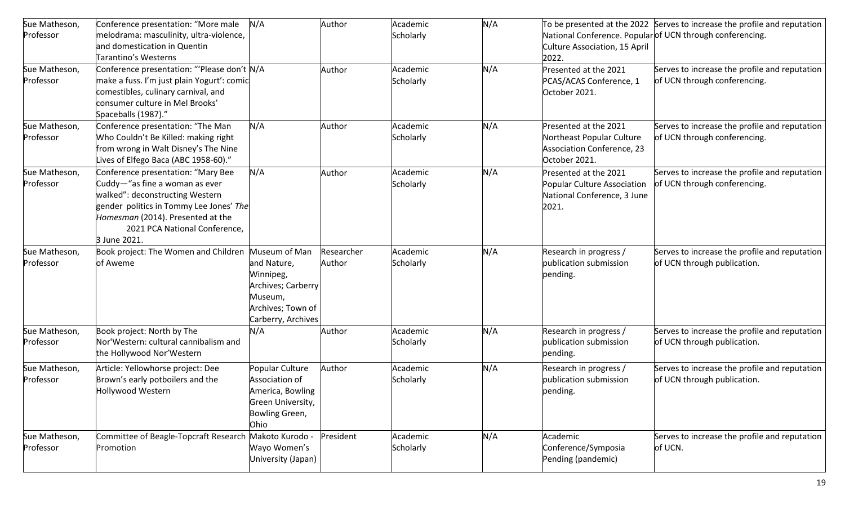| Sue Matheson,<br>Professor | Conference presentation: "More male<br>melodrama: masculinity, ultra-violence,<br>and domestication in Quentin<br>Tarantino's Westerns                                                                                                   | N/A                                                                                                                   | Author               | Academic<br>Scholarly | N/A | Culture Association, 15 April<br>2022.                                                                   | To be presented at the 2022 Serves to increase the profile and reputation<br>National Conference. Popular of UCN through conferencing. |
|----------------------------|------------------------------------------------------------------------------------------------------------------------------------------------------------------------------------------------------------------------------------------|-----------------------------------------------------------------------------------------------------------------------|----------------------|-----------------------|-----|----------------------------------------------------------------------------------------------------------|----------------------------------------------------------------------------------------------------------------------------------------|
| Sue Matheson,<br>Professor | Conference presentation: "'Please don't N/A<br>make a fuss. I'm just plain Yogurt': comic<br>comestibles, culinary carnival, and<br>consumer culture in Mel Brooks'<br>Spaceballs (1987)."                                               |                                                                                                                       | Author               | Academic<br>Scholarly | N/A | Presented at the 2021<br>PCAS/ACAS Conference, 1<br>October 2021.                                        | Serves to increase the profile and reputation<br>of UCN through conferencing.                                                          |
| Sue Matheson,<br>Professor | Conference presentation: "The Man<br>Who Couldn't Be Killed: making right<br>from wrong in Walt Disney's The Nine<br>Lives of Elfego Baca (ABC 1958-60)."                                                                                | N/A                                                                                                                   | Author               | Academic<br>Scholarly | N/A | Presented at the 2021<br>Northeast Popular Culture<br><b>Association Conference, 23</b><br>October 2021. | Serves to increase the profile and reputation<br>of UCN through conferencing.                                                          |
| Sue Matheson,<br>Professor | Conference presentation: "Mary Bee<br>Cuddy-"as fine a woman as ever<br>walked": deconstructing Western<br>gender politics in Tommy Lee Jones' The<br>Homesman (2014). Presented at the<br>2021 PCA National Conference,<br>3 June 2021. | N/A                                                                                                                   | Author               | Academic<br>Scholarly | N/A | Presented at the 2021<br>Popular Culture Association<br>National Conference, 3 June<br>2021.             | Serves to increase the profile and reputation<br>of UCN through conferencing.                                                          |
| Sue Matheson,<br>Professor | Book project: The Women and Children<br>of Aweme                                                                                                                                                                                         | Museum of Man<br>and Nature,<br>Winnipeg,<br>Archives; Carberry<br>Museum,<br>Archives; Town of<br>Carberry, Archives | Researcher<br>Author | Academic<br>Scholarly | N/A | Research in progress /<br>publication submission<br>pending.                                             | Serves to increase the profile and reputation<br>of UCN through publication.                                                           |
| Sue Matheson,<br>Professor | Book project: North by The<br>Nor'Western: cultural cannibalism and<br>the Hollywood Nor'Western                                                                                                                                         | N/A                                                                                                                   | Author               | Academic<br>Scholarly | N/A | Research in progress /<br>publication submission<br>pending.                                             | Serves to increase the profile and reputation<br>of UCN through publication.                                                           |
| Sue Matheson,<br>Professor | Article: Yellowhorse project: Dee<br>Brown's early potboilers and the<br>Hollywood Western                                                                                                                                               | Popular Culture<br>Association of<br>America, Bowling<br>Green University,<br>Bowling Green,<br>Ohio                  | Author               | Academic<br>Scholarly | N/A | Research in progress /<br>publication submission<br>pending.                                             | Serves to increase the profile and reputation<br>of UCN through publication.                                                           |
| Sue Matheson,<br>Professor | Committee of Beagle-Topcraft Research<br>Promotion                                                                                                                                                                                       | Makoto Kurodo -<br>Wayo Women's<br>University (Japan)                                                                 | President            | Academic<br>Scholarly | N/A | Academic<br>Conference/Symposia<br>Pending (pandemic)                                                    | Serves to increase the profile and reputation<br>of UCN.                                                                               |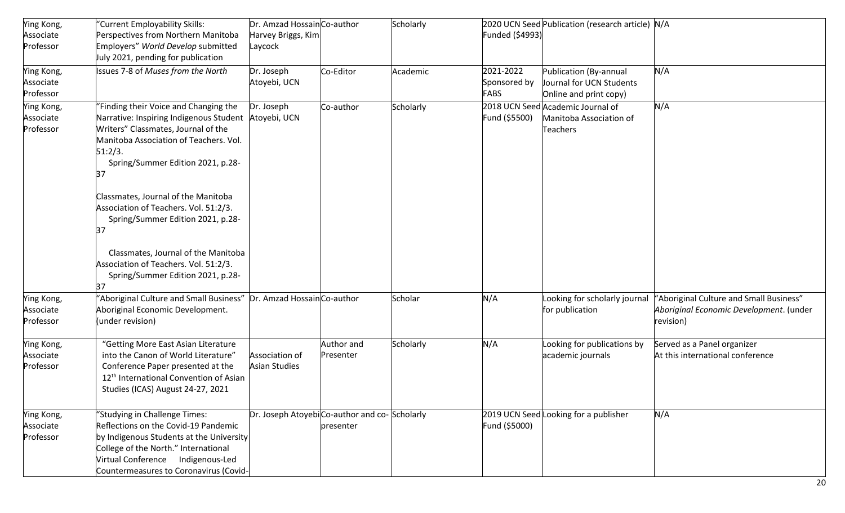| Ying Kong,<br>Associate<br>Professor | "Current Employability Skills:<br>Perspectives from Northern Manitoba<br>Employers" World Develop submitted<br>July 2021, pending for publication                                                                                                                                                                                                         | Dr. Amzad Hossain Co-author<br>Harvey Briggs, Kim<br>Laycock |                                                           | Scholarly | Funded (\$4993)                          | 2020 UCN Seed Publication (research article) N/A                             |                                                                                                 |
|--------------------------------------|-----------------------------------------------------------------------------------------------------------------------------------------------------------------------------------------------------------------------------------------------------------------------------------------------------------------------------------------------------------|--------------------------------------------------------------|-----------------------------------------------------------|-----------|------------------------------------------|------------------------------------------------------------------------------|-------------------------------------------------------------------------------------------------|
| Ying Kong,<br>Associate<br>Professor | Issues 7-8 of Muses from the North                                                                                                                                                                                                                                                                                                                        | Dr. Joseph<br>Atoyebi, UCN                                   | Co-Editor                                                 | Academic  | 2021-2022<br>Sponsored by<br><b>FABS</b> | Publication (By-annual<br>Journal for UCN Students<br>Online and print copy) | N/A                                                                                             |
| Ying Kong,<br>Associate<br>Professor | "Finding their Voice and Changing the<br>Narrative: Inspiring Indigenous Student<br>Writers" Classmates, Journal of the<br>Manitoba Association of Teachers. Vol.<br>51:2/3.<br>Spring/Summer Edition 2021, p.28-<br>37<br>Classmates, Journal of the Manitoba<br>Association of Teachers. Vol. 51:2/3.<br>Spring/Summer Edition 2021, p.28-<br><b>B7</b> | Dr. Joseph<br>Atoyebi, UCN                                   | Co-author                                                 | Scholarly | Fund (\$5500)                            | 2018 UCN Seed Academic Journal of<br>Manitoba Association of<br>Teachers     | N/A                                                                                             |
|                                      | Classmates, Journal of the Manitoba<br>Association of Teachers. Vol. 51:2/3.<br>Spring/Summer Edition 2021, p.28-<br>37                                                                                                                                                                                                                                   |                                                              |                                                           |           |                                          |                                                                              |                                                                                                 |
| Ying Kong,<br>Associate<br>Professor | "Aboriginal Culture and Small Business"<br>Aboriginal Economic Development.<br>(under revision)                                                                                                                                                                                                                                                           | Dr. Amzad HossainCo-author                                   |                                                           | Scholar   | N/A                                      | Looking for scholarly journal<br>for publication                             | "Aboriginal Culture and Small Business"<br>Aboriginal Economic Development. (under<br>revision) |
| Ying Kong,<br>Associate<br>Professor | "Getting More East Asian Literature<br>into the Canon of World Literature"<br>Conference Paper presented at the<br>12 <sup>th</sup> International Convention of Asian<br>Studies (ICAS) August 24-27, 2021                                                                                                                                                | Association of<br><b>Asian Studies</b>                       | Author and<br>Presenter                                   | Scholarly | N/A                                      | Looking for publications by<br>academic journals                             | Served as a Panel organizer<br>At this international conference                                 |
| Ying Kong,<br>Associate<br>Professor | "Studying in Challenge Times:<br>Reflections on the Covid-19 Pandemic<br>by Indigenous Students at the University<br>College of the North." International<br><b>Virtual Conference</b><br>Indigenous-Led<br>Countermeasures to Coronavirus (Covid-                                                                                                        |                                                              | Dr. Joseph AtoyebiCo-author and co-Scholarly<br>presenter |           | Fund (\$5000)                            | 2019 UCN Seed Looking for a publisher                                        | N/A                                                                                             |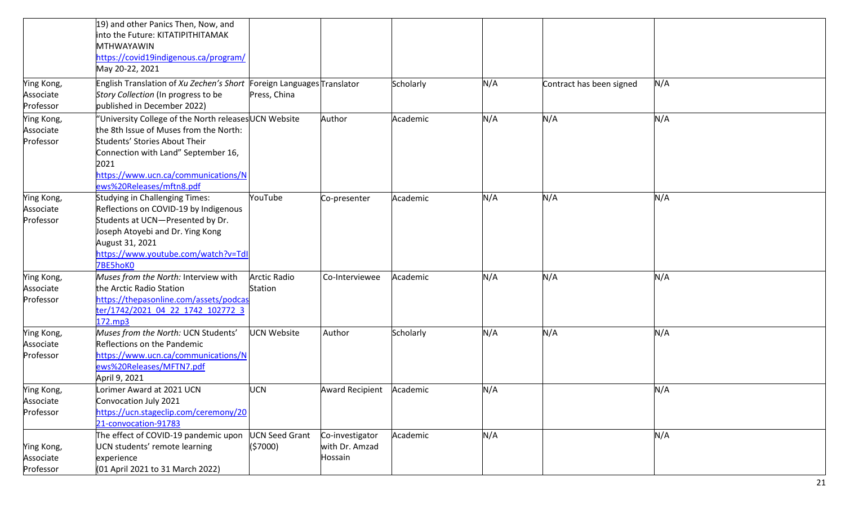|                                      | 19) and other Panics Then, Now, and<br>into the Future: KITATIPITHITAMAK<br><b>MTHWAYAWIN</b><br>https://covid19indigenous.ca/program/<br>May 20-22, 2021                                                                                         |                                              |                                              |           |     |                          |     |
|--------------------------------------|---------------------------------------------------------------------------------------------------------------------------------------------------------------------------------------------------------------------------------------------------|----------------------------------------------|----------------------------------------------|-----------|-----|--------------------------|-----|
| Ying Kong,<br>Associate<br>Professor | English Translation of Xu Zechen's Short<br>Story Collection (In progress to be<br>published in December 2022)                                                                                                                                    | Foreign Languages Translator<br>Press, China |                                              | Scholarly | N/A | Contract has been signed | N/A |
| Ying Kong,<br>Associate<br>Professor | "University College of the North releasesUCN Website<br>the 8th Issue of Muses from the North:<br>Students' Stories About Their<br>Connection with Land" September 16,<br>2021<br>https://www.ucn.ca/communications/N<br>ews%20Releases/mftn8.pdf |                                              | Author                                       | Academic  | N/A | N/A                      | N/A |
| Ying Kong,<br>Associate<br>Professor | Studying in Challenging Times:<br>Reflections on COVID-19 by Indigenous<br>Students at UCN-Presented by Dr.<br>Joseph Atoyebi and Dr. Ying Kong<br>August 31, 2021<br>https://www.youtube.com/watch?v=TdI<br>7BE5hoK0                             | YouTube                                      | Co-presenter                                 | Academic  | N/A | N/A                      | N/A |
| Ying Kong,<br>Associate<br>Professor | Muses from the North: Interview with<br>the Arctic Radio Station<br>https://thepasonline.com/assets/podcas<br>ter/1742/2021 04 22 1742 102772 3<br>172.mp3                                                                                        | <b>Arctic Radio</b><br><b>Station</b>        | Co-Interviewee                               | Academic  | N/A | N/A                      | N/A |
| Ying Kong,<br>Associate<br>Professor | Muses from the North: UCN Students'<br>Reflections on the Pandemic<br>https://www.ucn.ca/communications/N<br>ews%20Releases/MFTN7.pdf<br>April 9, 2021                                                                                            | <b>UCN Website</b>                           | Author                                       | Scholarly | N/A | N/A                      | N/A |
| Ying Kong,<br>Associate<br>Professor | Lorimer Award at 2021 UCN<br>Convocation July 2021<br>https://ucn.stageclip.com/ceremony/20<br>21-convocation-91783                                                                                                                               | <b>UCN</b>                                   | Award Recipient Academic                     |           | N/A |                          | N/A |
| Ying Kong,<br>Associate<br>Professor | The effect of COVID-19 pandemic upon<br>UCN students' remote learning<br>experience<br>(01 April 2021 to 31 March 2022)                                                                                                                           | <b>UCN Seed Grant</b><br>(57000)             | Co-investigator<br>with Dr. Amzad<br>Hossain | Academic  | N/A |                          | N/A |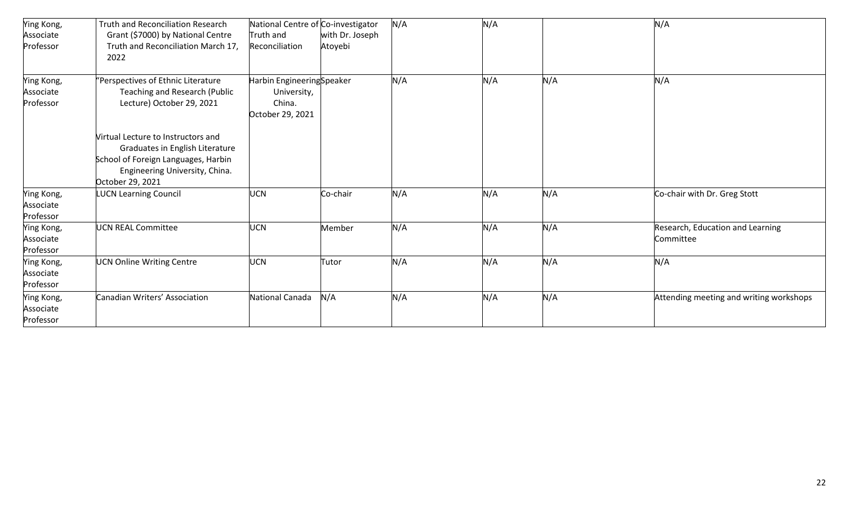| Ying Kong,<br>Associate<br>Professor | <b>Truth and Reconciliation Research</b><br>Grant (\$7000) by National Centre<br>Truth and Reconciliation March 17,<br>2022                                                                                                                                                   | National Centre of Co-investigator<br>Truth and<br>Reconciliation      | with Dr. Joseph<br>Atoyebi | N/A | N/A |     | N/A                                           |
|--------------------------------------|-------------------------------------------------------------------------------------------------------------------------------------------------------------------------------------------------------------------------------------------------------------------------------|------------------------------------------------------------------------|----------------------------|-----|-----|-----|-----------------------------------------------|
| Ying Kong,<br>Associate<br>Professor | 'Perspectives of Ethnic Literature<br><b>Teaching and Research (Public</b><br>Lecture) October 29, 2021<br>Nirtual Lecture to Instructors and<br>Graduates in English Literature<br>School of Foreign Languages, Harbin<br>Engineering University, China.<br>October 29, 2021 | Harbin EngineeringSpeaker<br>University,<br>China.<br>October 29, 2021 |                            | N/A | N/A | N/A | N/A                                           |
| Ying Kong,<br>Associate<br>Professor | <b>LUCN Learning Council</b>                                                                                                                                                                                                                                                  | UCN                                                                    | Co-chair                   | N/A | N/A | N/A | Co-chair with Dr. Greg Stott                  |
| Ying Kong,<br>Associate<br>Professor | <b>UCN REAL Committee</b>                                                                                                                                                                                                                                                     | <b>UCN</b>                                                             | Member                     | N/A | N/A | N/A | Research, Education and Learning<br>Committee |
| Ying Kong,<br>Associate<br>Professor | <b>UCN Online Writing Centre</b>                                                                                                                                                                                                                                              | <b>UCN</b>                                                             | Tutor                      | N/A | N/A | N/A | N/A                                           |
| Ying Kong,<br>Associate<br>Professor | Canadian Writers' Association                                                                                                                                                                                                                                                 | National Canada                                                        | N/A                        | N/A | N/A | N/A | Attending meeting and writing workshops       |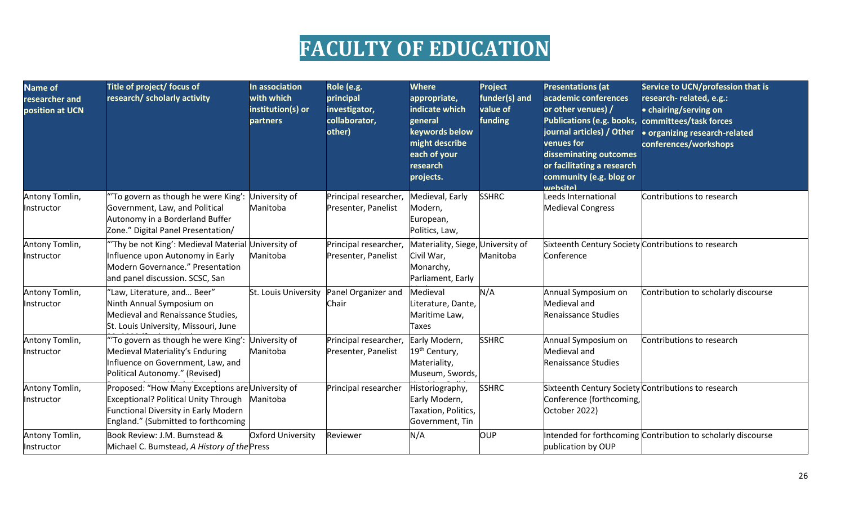# **FACULTY OF EDUCATION**

| Name of<br>researcher and<br>position at UCN | Title of project/ focus of<br>research/ scholarly activity                                                                                                                            | In association<br>with which<br>institution(s) or<br>partners | Role (e.g.<br>principal<br>investigator,<br>collaborator,<br>other) | <b>Where</b><br>appropriate,<br>indicate which<br>general<br>keywords below<br>might describe<br>each of your<br>research<br>projects. | Project<br>funder(s) and<br>value of<br>funding | <b>Presentations (at</b><br>academic conferences<br>or other venues) /<br>Publications (e.g. books, committees/task forces<br>journal articles) / Other<br>venues for<br>disseminating outcomes<br>or facilitating a research<br>community (e.g. blog or<br>website) | Service to UCN/profession that is<br>research-related, e.g.:<br>• chairing/serving on<br>· organizing research-related<br>conferences/workshops |
|----------------------------------------------|---------------------------------------------------------------------------------------------------------------------------------------------------------------------------------------|---------------------------------------------------------------|---------------------------------------------------------------------|----------------------------------------------------------------------------------------------------------------------------------------|-------------------------------------------------|----------------------------------------------------------------------------------------------------------------------------------------------------------------------------------------------------------------------------------------------------------------------|-------------------------------------------------------------------------------------------------------------------------------------------------|
| Antony Tomlin,<br>Instructor                 | "To govern as though he were King':<br>Government, Law, and Political<br>Autonomy in a Borderland Buffer<br>Zone." Digital Panel Presentation/                                        | University of<br>Manitoba                                     | Principal researcher,<br>Presenter, Panelist                        | Medieval, Early<br>Modern,<br>European,<br>Politics, Law,                                                                              | <b>SSHRC</b>                                    | Leeds International<br><b>Medieval Congress</b>                                                                                                                                                                                                                      | Contributions to research                                                                                                                       |
| Antony Tomlin,<br>Instructor                 | Thy be not King': Medieval Material University of<br>Influence upon Autonomy in Early<br>Modern Governance." Presentation<br>and panel discussion. SCSC, San                          | Manitoba                                                      | Principal researcher,<br>Presenter, Panelist                        | Materiality, Siege,<br>Civil War,<br>Monarchy,<br>Parliament, Early                                                                    | University of<br>Manitoba                       | Sixteenth Century Society Contributions to research<br>Conference                                                                                                                                                                                                    |                                                                                                                                                 |
| Antony Tomlin,<br>Instructor                 | 'Law, Literature, and Beer"<br>Ninth Annual Symposium on<br>Medieval and Renaissance Studies,<br>St. Louis University, Missouri, June                                                 | St. Louis University                                          | Panel Organizer and<br>Chair                                        | Medieval<br>Literature, Dante,<br>Maritime Law,<br>Taxes                                                                               | N/A                                             | Annual Symposium on<br>Medieval and<br>Renaissance Studies                                                                                                                                                                                                           | Contribution to scholarly discourse                                                                                                             |
| Antony Tomlin,<br>Instructor                 | "To govern as though he were King':<br>Medieval Materiality's Enduring<br>Influence on Government, Law, and<br>Political Autonomy." (Revised)                                         | University of<br>Manitoba                                     | Principal researcher,<br>Presenter, Panelist                        | Early Modern,<br>19 <sup>th</sup> Century,<br>Materiality,<br>Museum, Swords,                                                          | <b>SSHRC</b>                                    | Annual Symposium on<br>Medieval and<br>Renaissance Studies                                                                                                                                                                                                           | Contributions to research                                                                                                                       |
| Antony Tomlin,<br>Instructor                 | Proposed: "How Many Exceptions are University of<br><b>Exceptional? Political Unity Through</b><br><b>Functional Diversity in Early Modern</b><br>England." (Submitted to forthcoming | Manitoba                                                      | Principal researcher                                                | Historiography,<br>Early Modern,<br>Taxation, Politics,<br>Government, Tin                                                             | <b>SSHRC</b>                                    | Sixteenth Century Society Contributions to research<br>Conference (forthcoming,<br>October 2022)                                                                                                                                                                     |                                                                                                                                                 |
| Antony Tomlin,<br>Instructor                 | Book Review: J.M. Bumstead &<br>Michael C. Bumstead, A History of the Press                                                                                                           | Oxford University                                             | Reviewer                                                            | N/A                                                                                                                                    | <b>OUP</b>                                      | publication by OUP                                                                                                                                                                                                                                                   | Intended for forthcoming Contribution to scholarly discourse                                                                                    |

*Canadian Peoples* (forthcoming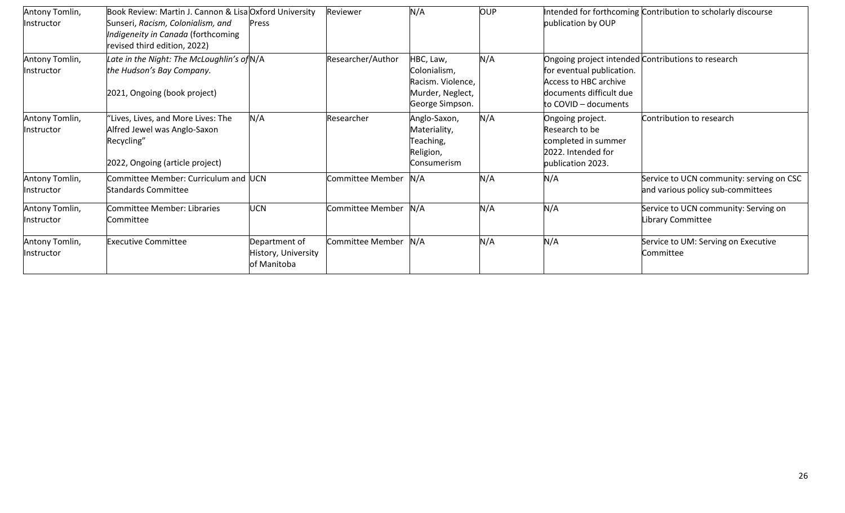| Antony Tomlin,               | Book Review: Martin J. Cannon & Lisa Oxford University                                                              |                                                     | Reviewer                | N/A                                                                                   | <b>OUP</b> |                                                                                                       | Intended for forthcoming Contribution to scholarly discourse                  |
|------------------------------|---------------------------------------------------------------------------------------------------------------------|-----------------------------------------------------|-------------------------|---------------------------------------------------------------------------------------|------------|-------------------------------------------------------------------------------------------------------|-------------------------------------------------------------------------------|
| Instructor                   | Sunseri, Racism, Colonialism, and<br>Indigeneity in Canada (forthcoming<br>revised third edition, 2022)             | Press                                               |                         |                                                                                       |            | publication by OUP                                                                                    |                                                                               |
| Antony Tomlin,<br>Instructor | Late in the Night: The McLoughlin's of N/A<br>the Hudson's Bay Company.<br>2021, Ongoing (book project)             |                                                     | Researcher/Author       | HBC, Law,<br>Colonialism,<br>Racism. Violence,<br>Murder, Neglect,<br>George Simpson. | N/A        | for eventual publication.<br>Access to HBC archive<br>documents difficult due<br>to COVID - documents | Ongoing project intended Contributions to research                            |
| Antony Tomlin,<br>Instructor | "Lives, Lives, and More Lives: The<br>Alfred Jewel was Anglo-Saxon<br>Recycling"<br>2022, Ongoing (article project) | N/A                                                 | Researcher              | Anglo-Saxon,<br>Materiality,<br>Teaching,<br>Religion,<br><b>Consumerism</b>          | N/A        | Ongoing project.<br>Research to be<br>completed in summer<br>2022. Intended for<br>publication 2023.  | Contribution to research                                                      |
| Antony Tomlin,<br>Instructor | Committee Member: Curriculum and UCN<br><b>Standards Committee</b>                                                  |                                                     | <b>Committee Member</b> | N/A                                                                                   | N/A        | N/A                                                                                                   | Service to UCN community: serving on CSC<br>and various policy sub-committees |
| Antony Tomlin,<br>Instructor | <b>Committee Member: Libraries</b><br>Committee                                                                     | <b>UCN</b>                                          | <b>Committee Member</b> | N/A                                                                                   | N/A        | N/A                                                                                                   | Service to UCN community: Serving on<br>Library Committee                     |
| Antony Tomlin,<br>Instructor | <b>Executive Committee</b>                                                                                          | Department of<br>History, University<br>of Manitoba | Committee Member        | N/A                                                                                   | N/A        | N/A                                                                                                   | Service to UM: Serving on Executive<br>Committee                              |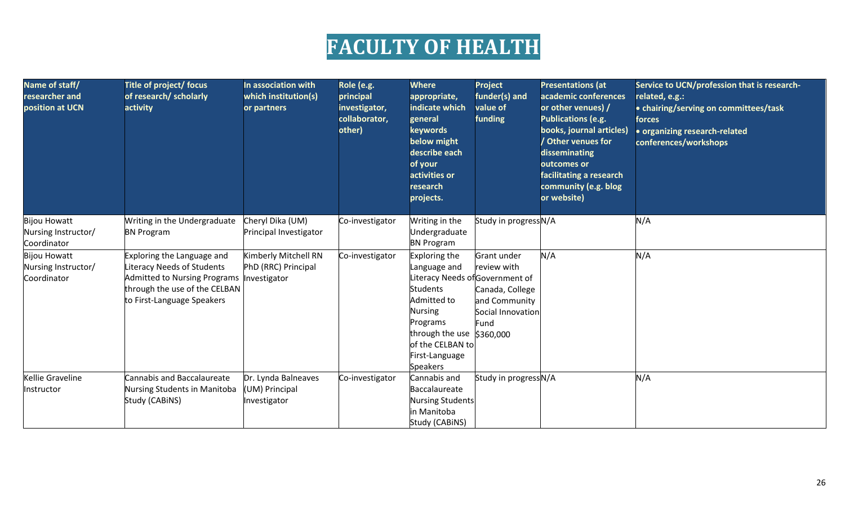# **FACULTY OF HEALTH**

| Name of staff/<br>researcher and<br>position at UCN       | Title of project/ focus<br>of research/ scholarly<br>activity                                                                                                         | In association with<br>which institution(s)<br>or partners  | Role (e.g.<br>principal<br>investigator,<br>collaborator,<br>other) | Where<br>appropriate,<br>indicate which<br>general<br>keywords<br>below might<br>describe each<br>of your<br>activities or<br>research<br>projects.                                                         | Project<br>funder(s) and<br>value of<br>funding                                                          | <b>Presentations (at</b><br>academic conferences<br>or other venues) /<br><b>Publications (e.g.</b><br>books, journal articles)<br>Other venues for<br>disseminating<br>outcomes or<br>facilitating a research<br>community (e.g. blog<br>or website) | Service to UCN/profession that is research-<br>related, e.g.:<br>• chairing/serving on committees/task<br>forces<br>• organizing research-related<br>conferences/workshops |
|-----------------------------------------------------------|-----------------------------------------------------------------------------------------------------------------------------------------------------------------------|-------------------------------------------------------------|---------------------------------------------------------------------|-------------------------------------------------------------------------------------------------------------------------------------------------------------------------------------------------------------|----------------------------------------------------------------------------------------------------------|-------------------------------------------------------------------------------------------------------------------------------------------------------------------------------------------------------------------------------------------------------|----------------------------------------------------------------------------------------------------------------------------------------------------------------------------|
| Bijou Howatt<br>Nursing Instructor/<br>Coordinator        | Writing in the Undergraduate<br><b>BN Program</b>                                                                                                                     | Cheryl Dika (UM)<br>Principal Investigator                  | Co-investigator                                                     | Writing in the<br>Undergraduate<br><b>BN Program</b>                                                                                                                                                        | Study in progressN/A                                                                                     |                                                                                                                                                                                                                                                       | N/A                                                                                                                                                                        |
| <b>Bijou Howatt</b><br>Nursing Instructor/<br>Coordinator | Exploring the Language and<br><b>Literacy Needs of Students</b><br><b>Admitted to Nursing Programs</b><br>through the use of the CELBAN<br>to First-Language Speakers | Kimberly Mitchell RN<br>PhD (RRC) Principal<br>Investigator | Co-investigator                                                     | Exploring the<br>Language and<br>Literacy Needs ofGovernment of<br><b>Students</b><br>Admitted to<br><b>Nursing</b><br>Programs<br>through the use<br>of the CELBAN to<br>First-Language<br><b>Speakers</b> | Grant under<br>review with<br>Canada, College<br>and Community<br>Social Innovation<br>Fund<br>\$360,000 | N/A                                                                                                                                                                                                                                                   | N/A                                                                                                                                                                        |
| Kellie Graveline<br>Instructor                            | <b>Cannabis and Baccalaureate</b><br>Nursing Students in Manitoba<br>Study (CABINS)                                                                                   | Dr. Lynda Balneaves<br>(UM) Principal<br>Investigator       | Co-investigator                                                     | Cannabis and<br>Baccalaureate<br>Nursing Students<br>in Manitoba<br>Study (CABINS)                                                                                                                          | Study in progressN/A                                                                                     |                                                                                                                                                                                                                                                       | N/A                                                                                                                                                                        |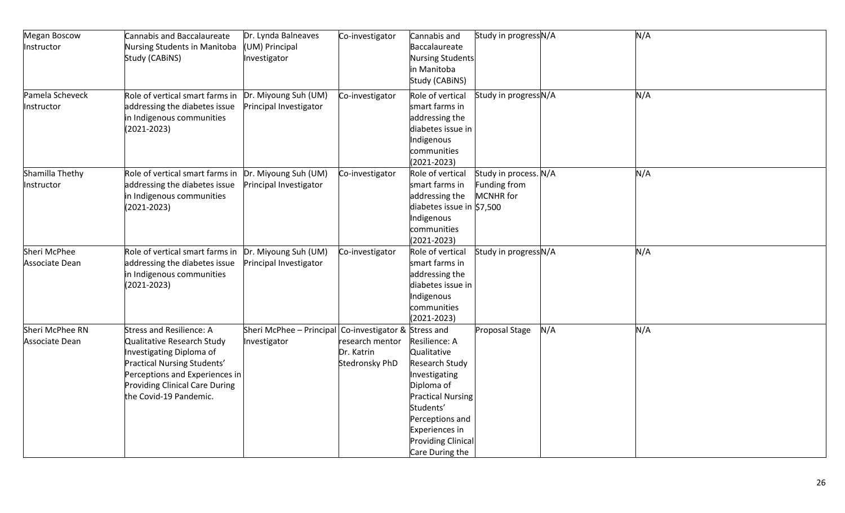| Megan Boscow<br>Instructor        | Cannabis and Baccalaureate<br>Nursing Students in Manitoba<br>Study (CABINS)                                                                                                                                    | Dr. Lynda Balneaves<br>(UM) Principal<br>Investigator | Co-investigator                                                                        | Cannabis and<br>Baccalaureate<br>Nursing Students<br>in Manitoba<br>Study (CABINS)                                                                                                                          | Study in progressN/A                                             |     | N/A |
|-----------------------------------|-----------------------------------------------------------------------------------------------------------------------------------------------------------------------------------------------------------------|-------------------------------------------------------|----------------------------------------------------------------------------------------|-------------------------------------------------------------------------------------------------------------------------------------------------------------------------------------------------------------|------------------------------------------------------------------|-----|-----|
| Pamela Scheveck<br>Instructor     | Role of vertical smart farms in<br>addressing the diabetes issue<br>in Indigenous communities<br>$(2021 - 2023)$                                                                                                | Dr. Miyoung Suh (UM)<br>Principal Investigator        | Co-investigator                                                                        | Role of vertical<br>smart farms in<br>addressing the<br>diabetes issue in<br>Indigenous<br>communities<br>$(2021 - 2023)$                                                                                   | Study in progressN/A                                             |     | N/A |
| Shamilla Thethy<br>Instructor     | Role of vertical smart farms in<br>addressing the diabetes issue<br>in Indigenous communities<br>$(2021 - 2023)$                                                                                                | Dr. Miyoung Suh (UM)<br>Principal Investigator        | Co-investigator                                                                        | Role of vertical<br>smart farms in<br>addressing the<br>diabetes issue in $$7,500$<br>Indigenous<br>communities<br>$(2021 - 2023)$                                                                          | Study in process. N/A<br><b>Funding from</b><br><b>MCNHR</b> for |     | N/A |
| Sheri McPhee<br>Associate Dean    | Role of vertical smart farms in<br>addressing the diabetes issue<br>in Indigenous communities<br>$(2021 - 2023)$                                                                                                | Dr. Miyoung Suh (UM)<br>Principal Investigator        | Co-investigator                                                                        | Role of vertical<br>smart farms in<br>addressing the<br>diabetes issue in<br>Indigenous<br>communities<br>$(2021 - 2023)$                                                                                   | Study in progressN/A                                             |     | N/A |
| Sheri McPhee RN<br>Associate Dean | Stress and Resilience: A<br>Qualitative Research Study<br>Investigating Diploma of<br>Practical Nursing Students'<br>Perceptions and Experiences in<br>Providing Clinical Care During<br>the Covid-19 Pandemic. | Sheri McPhee - Principal<br>Investigator              | Co-investigator & Stress and<br>research mentor<br>Dr. Katrin<br><b>Stedronsky PhD</b> | Resilience: A<br>Qualitative<br>Research Study<br>Investigating<br>Diploma of<br><b>Practical Nursing</b><br>Students'<br>Perceptions and<br>Experiences in<br><b>Providing Clinical</b><br>Care During the | Proposal Stage                                                   | N/A | N/A |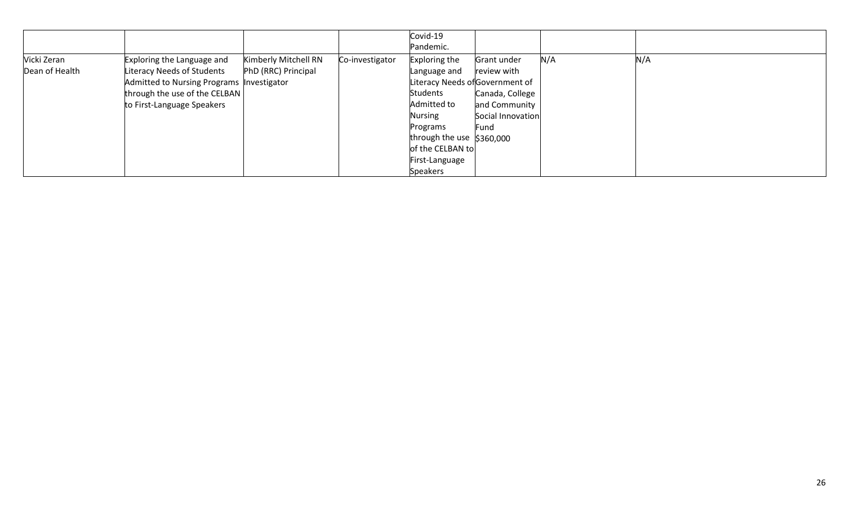|                               |                                                                                                                                                                       |                                             |                 | Covid-19<br>Pandemic.                                                                                               |                                                                                                                                |     |     |
|-------------------------------|-----------------------------------------------------------------------------------------------------------------------------------------------------------------------|---------------------------------------------|-----------------|---------------------------------------------------------------------------------------------------------------------|--------------------------------------------------------------------------------------------------------------------------------|-----|-----|
| Vicki Zeran<br>Dean of Health | Exploring the Language and<br>Literacy Needs of Students<br>Admitted to Nursing Programs  Investigator<br>through the use of the CELBAN<br>to First-Language Speakers | Kimberly Mitchell RN<br>PhD (RRC) Principal | Co-investigator | Exploring the<br>Language and<br>Students<br>Admitted to<br><b>Nursing</b><br>Programs<br>through the use \$360,000 | Grant under<br>review with<br>Literacy Needs of Government of<br>Canada, College<br>and Community<br>Social Innovation<br>Fund | N/A | N/A |
|                               |                                                                                                                                                                       |                                             |                 | of the CELBAN to<br>First-Language<br>Speakers                                                                      |                                                                                                                                |     |     |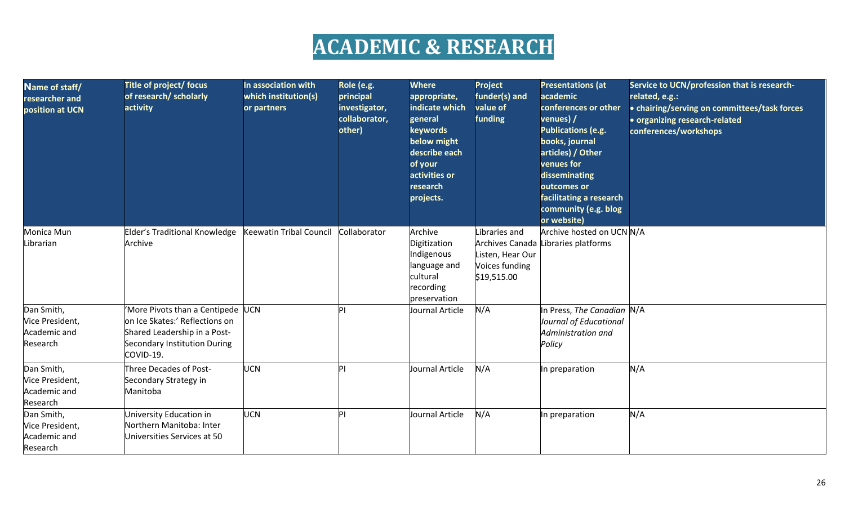## **ACADEMIC & RESEARCH**

| Name of staff/<br>researcher and<br>position at UCN       | Title of project/ focus<br>of research/ scholarly<br>activity                                                                                    | In association with<br>which institution(s)<br>or partners | Role (e.g.<br>principal<br>investigator,<br>collaborator,<br>other) | <b>Where</b><br>appropriate,<br>indicate which<br>general<br>keywords<br>below might<br>describe each<br>of your<br>activities or<br>research<br>projects. | <b>Project</b><br>funder(s) and<br>value of<br>funding             | <b>Presentations (at</b><br>academic<br>conferences or other<br>venues) /<br><b>Publications (e.g.</b><br>books, journal<br>articles) / Other<br>venues for<br>disseminating<br>outcomes or<br>facilitating a research<br>community (e.g. blog<br>or website) | Service to UCN/profession that is research-<br>related, e.g.:<br>• chairing/serving on committees/task forces<br>· organizing research-related<br>conferences/workshops |
|-----------------------------------------------------------|--------------------------------------------------------------------------------------------------------------------------------------------------|------------------------------------------------------------|---------------------------------------------------------------------|------------------------------------------------------------------------------------------------------------------------------------------------------------|--------------------------------------------------------------------|---------------------------------------------------------------------------------------------------------------------------------------------------------------------------------------------------------------------------------------------------------------|-------------------------------------------------------------------------------------------------------------------------------------------------------------------------|
| Monica Mun<br>Librarian                                   | Elder's Traditional Knowledge<br>Archive                                                                                                         | Keewatin Tribal Council                                    | Collaborator                                                        | Archive<br>Digitization<br>Indigenous<br>language and<br>cultural<br>recording<br>preservation                                                             | Libraries and<br>Listen, Hear Our<br>Voices funding<br>\$19,515.00 | Archive hosted on UCN N/A<br>Archives Canada Libraries platforms                                                                                                                                                                                              |                                                                                                                                                                         |
| Dan Smith,<br>Vice President,<br>Academic and<br>Research | 'More Pivots than a Centipede UCN<br>on Ice Skates:' Reflections on<br>Shared Leadership in a Post-<br>Secondary Institution During<br>COVID-19. |                                                            |                                                                     | Journal Article                                                                                                                                            | N/A                                                                | In Press, The Canadian N/A<br>Journal of Educational<br>Administration and<br>Policy                                                                                                                                                                          |                                                                                                                                                                         |
| Dan Smith,<br>Vice President,<br>Academic and<br>Research | Three Decades of Post-<br>Secondary Strategy in<br>Manitoba                                                                                      | <b>UCN</b>                                                 |                                                                     | Journal Article                                                                                                                                            | N/A                                                                | In preparation                                                                                                                                                                                                                                                | N/A                                                                                                                                                                     |
| Dan Smith,<br>Vice President,<br>Academic and<br>Research | Jniversity Education in<br>Northern Manitoba: Inter<br>Universities Services at 50                                                               | <b>UCN</b>                                                 |                                                                     | Journal Article                                                                                                                                            | N/A                                                                | In preparation                                                                                                                                                                                                                                                | N/A                                                                                                                                                                     |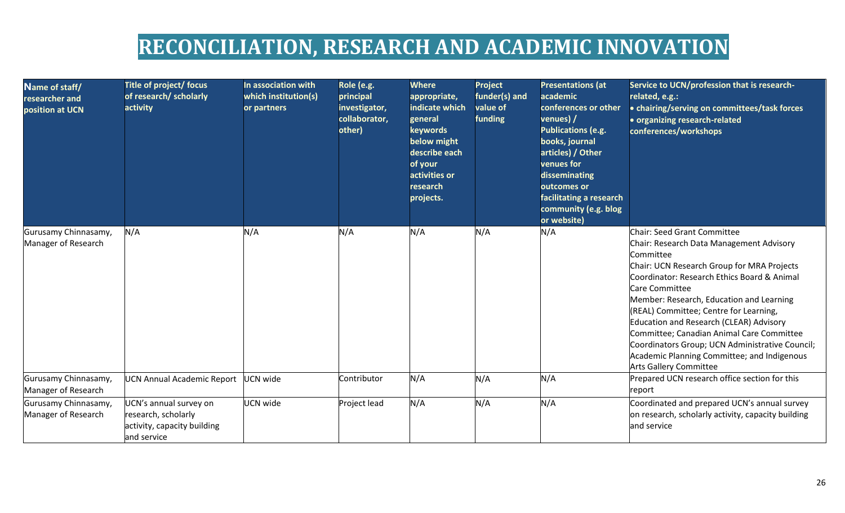### **RECONCILIATION, RESEARCH AND ACADEMIC INNOVATION**

| Name of staff/<br>researcher and<br>position at UCN | Title of project/ focus<br>of research/ scholarly<br>activity                               | In association with<br>which institution(s)<br>or partners | Role (e.g.<br>principal<br>investigator,<br>collaborator,<br>other) | <b>Where</b><br>appropriate,<br>indicate which<br>general<br>keywords<br>below might<br>describe each<br>of your<br>activities or<br>research<br>projects. | Project<br>funder(s) and<br>value of<br>funding | <b>Presentations (at</b><br>academic<br>conferences or other<br>venues) /<br><b>Publications (e.g.</b><br>books, journal<br>articles) / Other<br>venues for<br>disseminating<br>outcomes or<br>facilitating a research<br>community (e.g. blog<br>or website) | Service to UCN/profession that is research-<br>related, e.g.:<br>• chairing/serving on committees/task forces<br>• organizing research-related<br>conferences/workshops                                                                                                                                                                                                                                                                                                                                                     |
|-----------------------------------------------------|---------------------------------------------------------------------------------------------|------------------------------------------------------------|---------------------------------------------------------------------|------------------------------------------------------------------------------------------------------------------------------------------------------------|-------------------------------------------------|---------------------------------------------------------------------------------------------------------------------------------------------------------------------------------------------------------------------------------------------------------------|-----------------------------------------------------------------------------------------------------------------------------------------------------------------------------------------------------------------------------------------------------------------------------------------------------------------------------------------------------------------------------------------------------------------------------------------------------------------------------------------------------------------------------|
| Gurusamy Chinnasamy,<br>Manager of Research         | N/A                                                                                         | N/A                                                        | N/A                                                                 | N/A                                                                                                                                                        | N/A                                             | N/A                                                                                                                                                                                                                                                           | <b>Chair: Seed Grant Committee</b><br>Chair: Research Data Management Advisory<br>Committee<br>Chair: UCN Research Group for MRA Projects<br>Coordinator: Research Ethics Board & Animal<br>Care Committee<br>Member: Research, Education and Learning<br>(REAL) Committee; Centre for Learning,<br>Education and Research (CLEAR) Advisory<br>Committee; Canadian Animal Care Committee<br>Coordinators Group; UCN Administrative Council;<br>Academic Planning Committee; and Indigenous<br><b>Arts Gallery Committee</b> |
| Gurusamy Chinnasamy,<br>Manager of Research         | <b>UCN Annual Academic Report</b>                                                           | UCN wide                                                   | Contributor                                                         | N/A                                                                                                                                                        | N/A                                             | N/A                                                                                                                                                                                                                                                           | Prepared UCN research office section for this<br>report                                                                                                                                                                                                                                                                                                                                                                                                                                                                     |
| Gurusamy Chinnasamy,<br>Manager of Research         | UCN's annual survey on<br>research, scholarly<br>activity, capacity building<br>and service | UCN wide                                                   | Project lead                                                        | N/A                                                                                                                                                        | N/A                                             | N/A                                                                                                                                                                                                                                                           | Coordinated and prepared UCN's annual survey<br>on research, scholarly activity, capacity building<br>and service                                                                                                                                                                                                                                                                                                                                                                                                           |